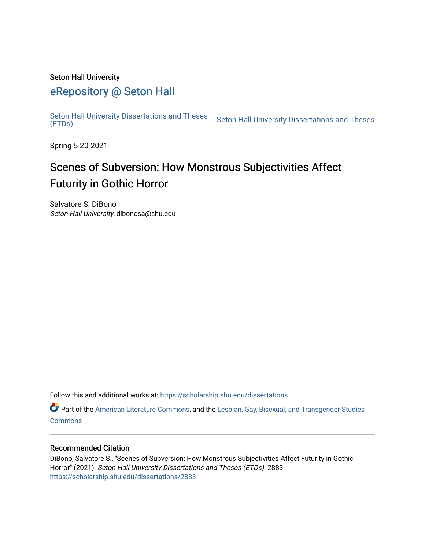#### Seton Hall University

## [eRepository @ Seton Hall](https://scholarship.shu.edu/)

[Seton Hall University Dissertations and Theses](https://scholarship.shu.edu/dissertations)  Seton Hall University Dissertations and Theses Seton Hall University Dissertations and Theses<br>[\(ETDs\)](https://scholarship.shu.edu/dissertations)

Spring 5-20-2021

# Scenes of Subversion: How Monstrous Subjectivities Affect Futurity in Gothic Horror

Salvatore S. DiBono Seton Hall University, dibonosa@shu.edu

Follow this and additional works at: [https://scholarship.shu.edu/dissertations](https://scholarship.shu.edu/dissertations?utm_source=scholarship.shu.edu%2Fdissertations%2F2883&utm_medium=PDF&utm_campaign=PDFCoverPages) 

Part of the [American Literature Commons](http://network.bepress.com/hgg/discipline/441?utm_source=scholarship.shu.edu%2Fdissertations%2F2883&utm_medium=PDF&utm_campaign=PDFCoverPages), and the [Lesbian, Gay, Bisexual, and Transgender Studies](http://network.bepress.com/hgg/discipline/560?utm_source=scholarship.shu.edu%2Fdissertations%2F2883&utm_medium=PDF&utm_campaign=PDFCoverPages)  **[Commons](http://network.bepress.com/hgg/discipline/560?utm_source=scholarship.shu.edu%2Fdissertations%2F2883&utm_medium=PDF&utm_campaign=PDFCoverPages)** 

#### Recommended Citation

DiBono, Salvatore S., "Scenes of Subversion: How Monstrous Subjectivities Affect Futurity in Gothic Horror" (2021). Seton Hall University Dissertations and Theses (ETDs). 2883. [https://scholarship.shu.edu/dissertations/2883](https://scholarship.shu.edu/dissertations/2883?utm_source=scholarship.shu.edu%2Fdissertations%2F2883&utm_medium=PDF&utm_campaign=PDFCoverPages)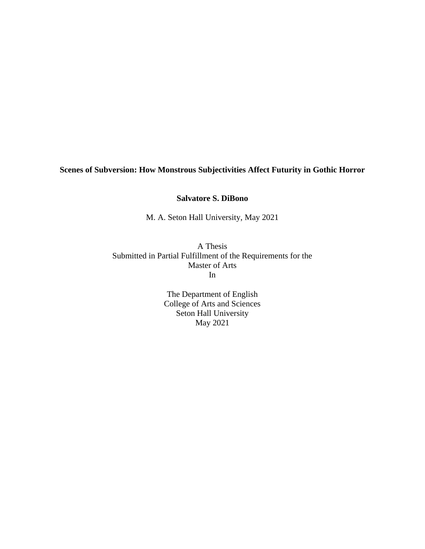### **Scenes of Subversion: How Monstrous Subjectivities Affect Futurity in Gothic Horror**

**Salvatore S. DiBono**

M. A. Seton Hall University, May 2021

A Thesis Submitted in Partial Fulfillment of the Requirements for the Master of Arts In

> The Department of English College of Arts and Sciences Seton Hall University May 2021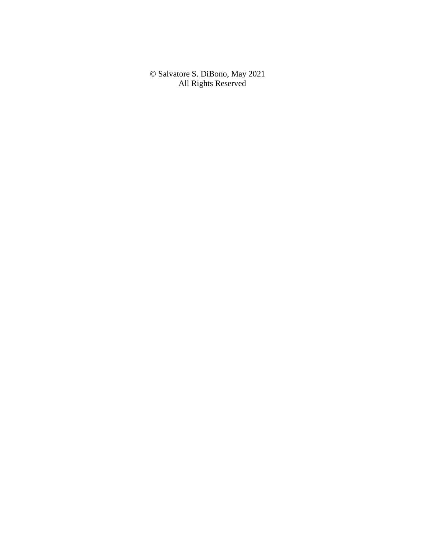© Salvatore S. DiBono, May 2021 All Rights Reserved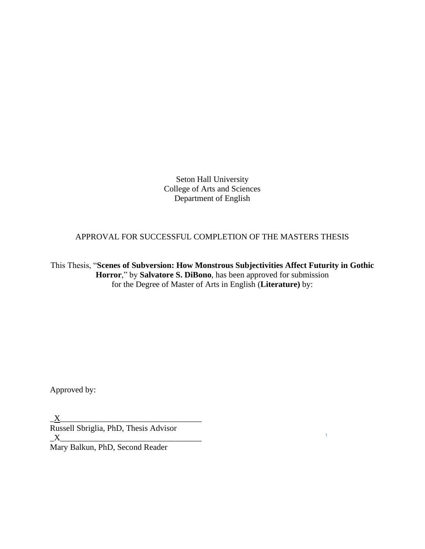Seton Hall University College of Arts and Sciences Department of English

APPROVAL FOR SUCCESSFUL COMPLETION OF THE MASTERS THESIS

This Thesis, "**Scenes of Subversion: How Monstrous Subjectivities Affect Futurity in Gothic Horror**," by **Salvatore S. DiBono**, has been approved for submission for the Degree of Master of Arts in English (**Literature)** by:

 $\Lambda^+$ 

Approved by:

 $\underline{X}$ Russell Sbriglia, PhD, Thesis Advisor  $\_X$ 

Mary Balkun, PhD, Second Reader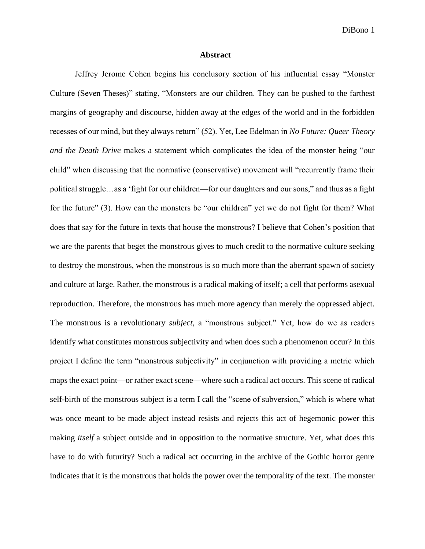#### **Abstract**

Jeffrey Jerome Cohen begins his conclusory section of his influential essay "Monster Culture (Seven Theses)" stating, "Monsters are our children. They can be pushed to the farthest margins of geography and discourse, hidden away at the edges of the world and in the forbidden recesses of our mind, but they always return" (52). Yet, Lee Edelman in *No Future: Queer Theory and the Death Drive* makes a statement which complicates the idea of the monster being "our child" when discussing that the normative (conservative) movement will "recurrently frame their political struggle…as a 'fight for our children—for our daughters and our sons," and thus as a fight for the future" (3). How can the monsters be "our children" yet we do not fight for them? What does that say for the future in texts that house the monstrous? I believe that Cohen's position that we are the parents that beget the monstrous gives to much credit to the normative culture seeking to destroy the monstrous, when the monstrous is so much more than the aberrant spawn of society and culture at large. Rather, the monstrous is a radical making of itself; a cell that performs asexual reproduction. Therefore, the monstrous has much more agency than merely the oppressed abject. The monstrous is a revolutionary *subject,* a "monstrous subject." Yet, how do we as readers identify what constitutes monstrous subjectivity and when does such a phenomenon occur? In this project I define the term "monstrous subjectivity" in conjunction with providing a metric which maps the exact point—or rather exact scene—where such a radical act occurs. This scene of radical self-birth of the monstrous subject is a term I call the "scene of subversion," which is where what was once meant to be made abject instead resists and rejects this act of hegemonic power this making *itself* a subject outside and in opposition to the normative structure. Yet, what does this have to do with futurity? Such a radical act occurring in the archive of the Gothic horror genre indicates that it is the monstrous that holds the power over the temporality of the text. The monster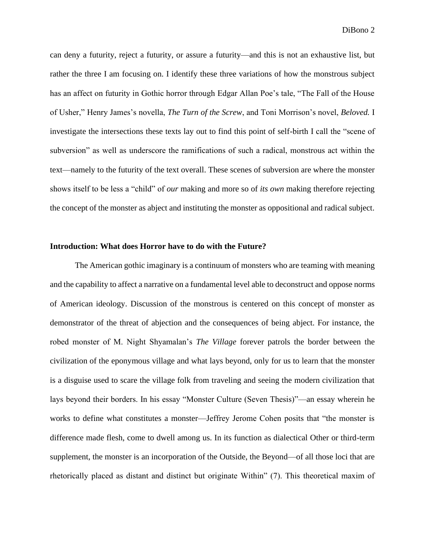can deny a futurity, reject a futurity, or assure a futurity—and this is not an exhaustive list, but rather the three I am focusing on. I identify these three variations of how the monstrous subject has an affect on futurity in Gothic horror through Edgar Allan Poe's tale, "The Fall of the House of Usher," Henry James's novella, *The Turn of the Screw*, and Toni Morrison's novel, *Beloved.* I investigate the intersections these texts lay out to find this point of self-birth I call the "scene of subversion" as well as underscore the ramifications of such a radical, monstrous act within the text—namely to the futurity of the text overall. These scenes of subversion are where the monster shows itself to be less a "child" of *our* making and more so of *its own* making therefore rejecting the concept of the monster as abject and instituting the monster as oppositional and radical subject.

#### **Introduction: What does Horror have to do with the Future?**

The American gothic imaginary is a continuum of monsters who are teaming with meaning and the capability to affect a narrative on a fundamental level able to deconstruct and oppose norms of American ideology. Discussion of the monstrous is centered on this concept of monster as demonstrator of the threat of abjection and the consequences of being abject. For instance, the robed monster of M. Night Shyamalan's *The Village* forever patrols the border between the civilization of the eponymous village and what lays beyond, only for us to learn that the monster is a disguise used to scare the village folk from traveling and seeing the modern civilization that lays beyond their borders. In his essay "Monster Culture (Seven Thesis)"—an essay wherein he works to define what constitutes a monster—Jeffrey Jerome Cohen posits that "the monster is difference made flesh, come to dwell among us. In its function as dialectical Other or third-term supplement, the monster is an incorporation of the Outside, the Beyond—of all those loci that are rhetorically placed as distant and distinct but originate Within" (7). This theoretical maxim of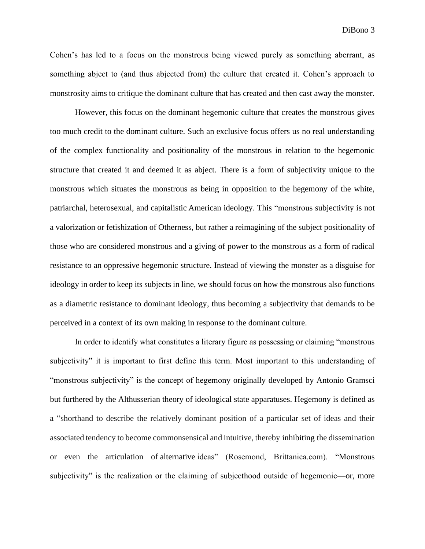Cohen's has led to a focus on the monstrous being viewed purely as something aberrant, as something abject to (and thus abjected from) the culture that created it. Cohen's approach to monstrosity aims to critique the dominant culture that has created and then cast away the monster.

However, this focus on the dominant hegemonic culture that creates the monstrous gives too much credit to the dominant culture. Such an exclusive focus offers us no real understanding of the complex functionality and positionality of the monstrous in relation to the hegemonic structure that created it and deemed it as abject. There is a form of subjectivity unique to the monstrous which situates the monstrous as being in opposition to the hegemony of the white, patriarchal, heterosexual, and capitalistic American ideology. This "monstrous subjectivity is not a valorization or fetishization of Otherness, but rather a reimagining of the subject positionality of those who are considered monstrous and a giving of power to the monstrous as a form of radical resistance to an oppressive hegemonic structure. Instead of viewing the monster as a disguise for ideology in order to keep its subjects in line, we should focus on how the monstrous also functions as a diametric resistance to dominant ideology, thus becoming a subjectivity that demands to be perceived in a context of its own making in response to the dominant culture.

In order to identify what constitutes a literary figure as possessing or claiming "monstrous subjectivity" it is important to first define this term. Most important to this understanding of "monstrous subjectivity" is the concept of hegemony originally developed by Antonio Gramsci but furthered by the Althusserian theory of ideological state apparatuses. Hegemony is defined as a "shorthand to describe the relatively dominant position of a particular set of ideas and their associated tendency to become commonsensical and intuitive, thereby inhibiting the dissemination or even the articulation of alternative ideas" (Rosemond, Brittanica.com). "Monstrous subjectivity" is the realization or the claiming of subjecthood outside of hegemonic—or, more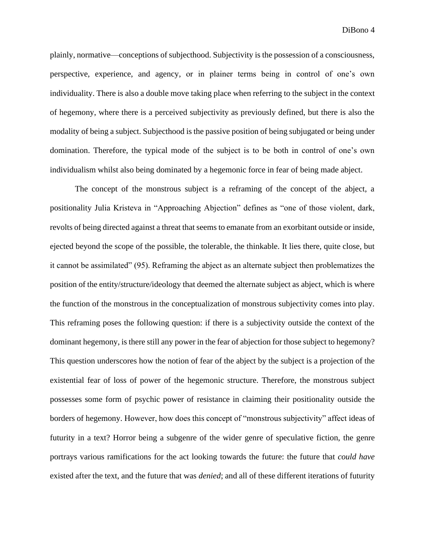plainly, normative—conceptions of subjecthood. Subjectivity is the possession of a consciousness, perspective, experience, and agency, or in plainer terms being in control of one's own individuality. There is also a double move taking place when referring to the subject in the context of hegemony, where there is a perceived subjectivity as previously defined, but there is also the modality of being a subject. Subjecthood is the passive position of being subjugated or being under domination. Therefore, the typical mode of the subject is to be both in control of one's own individualism whilst also being dominated by a hegemonic force in fear of being made abject.

The concept of the monstrous subject is a reframing of the concept of the abject, a positionality Julia Kristeva in "Approaching Abjection" defines as "one of those violent, dark, revolts of being directed against a threat that seems to emanate from an exorbitant outside or inside, ejected beyond the scope of the possible, the tolerable, the thinkable. It lies there, quite close, but it cannot be assimilated" (95). Reframing the abject as an alternate subject then problematizes the position of the entity/structure/ideology that deemed the alternate subject as abject, which is where the function of the monstrous in the conceptualization of monstrous subjectivity comes into play. This reframing poses the following question: if there is a subjectivity outside the context of the dominant hegemony, is there still any power in the fear of abjection for those subject to hegemony? This question underscores how the notion of fear of the abject by the subject is a projection of the existential fear of loss of power of the hegemonic structure. Therefore, the monstrous subject possesses some form of psychic power of resistance in claiming their positionality outside the borders of hegemony. However, how does this concept of "monstrous subjectivity" affect ideas of futurity in a text? Horror being a subgenre of the wider genre of speculative fiction, the genre portrays various ramifications for the act looking towards the future: the future that *could have*  existed after the text, and the future that was *denied*; and all of these different iterations of futurity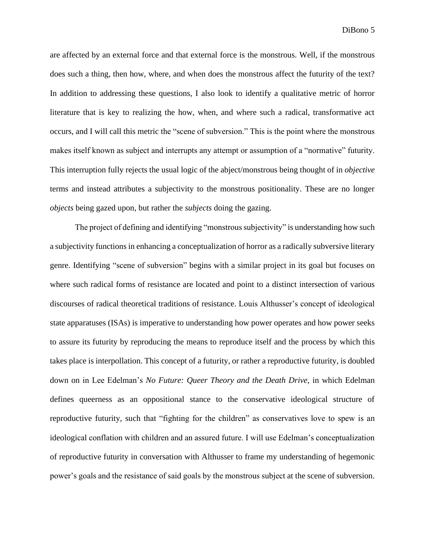are affected by an external force and that external force is the monstrous. Well, if the monstrous does such a thing, then how, where, and when does the monstrous affect the futurity of the text? In addition to addressing these questions, I also look to identify a qualitative metric of horror literature that is key to realizing the how, when, and where such a radical, transformative act occurs, and I will call this metric the "scene of subversion." This is the point where the monstrous makes itself known as subject and interrupts any attempt or assumption of a "normative" futurity. This interruption fully rejects the usual logic of the abject/monstrous being thought of in *objective*  terms and instead attributes a subjectivity to the monstrous positionality. These are no longer *objects* being gazed upon, but rather the *subjects* doing the gazing.

The project of defining and identifying "monstrous subjectivity" is understanding how such a subjectivity functions in enhancing a conceptualization of horror as a radically subversive literary genre. Identifying "scene of subversion" begins with a similar project in its goal but focuses on where such radical forms of resistance are located and point to a distinct intersection of various discourses of radical theoretical traditions of resistance. Louis Althusser's concept of ideological state apparatuses (ISAs) is imperative to understanding how power operates and how power seeks to assure its futurity by reproducing the means to reproduce itself and the process by which this takes place is interpollation. This concept of a futurity, or rather a reproductive futurity, is doubled down on in Lee Edelman's *No Future: Queer Theory and the Death Drive,* in which Edelman defines queerness as an oppositional stance to the conservative ideological structure of reproductive futurity, such that "fighting for the children" as conservatives love to spew is an ideological conflation with children and an assured future. I will use Edelman's conceptualization of reproductive futurity in conversation with Althusser to frame my understanding of hegemonic power's goals and the resistance of said goals by the monstrous subject at the scene of subversion.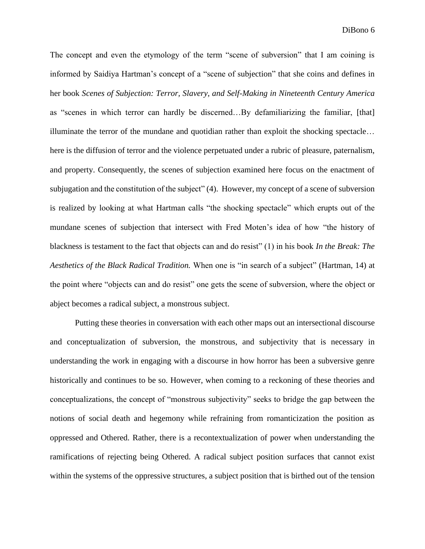The concept and even the etymology of the term "scene of subversion" that I am coining is informed by Saidiya Hartman's concept of a "scene of subjection" that she coins and defines in her book *Scenes of Subjection: Terror, Slavery, and Self-Making in Nineteenth Century America*  as "scenes in which terror can hardly be discerned…By defamiliarizing the familiar, [that] illuminate the terror of the mundane and quotidian rather than exploit the shocking spectacle… here is the diffusion of terror and the violence perpetuated under a rubric of pleasure, paternalism, and property. Consequently, the scenes of subjection examined here focus on the enactment of subjugation and the constitution of the subject" (4). However, my concept of a scene of subversion is realized by looking at what Hartman calls "the shocking spectacle" which erupts out of the mundane scenes of subjection that intersect with Fred Moten's idea of how "the history of blackness is testament to the fact that objects can and do resist" (1) in his book *In the Break: The Aesthetics of the Black Radical Tradition.* When one is "in search of a subject" (Hartman, 14) at the point where "objects can and do resist" one gets the scene of subversion, where the object or abject becomes a radical subject, a monstrous subject.

Putting these theories in conversation with each other maps out an intersectional discourse and conceptualization of subversion, the monstrous, and subjectivity that is necessary in understanding the work in engaging with a discourse in how horror has been a subversive genre historically and continues to be so. However, when coming to a reckoning of these theories and conceptualizations, the concept of "monstrous subjectivity" seeks to bridge the gap between the notions of social death and hegemony while refraining from romanticization the position as oppressed and Othered. Rather, there is a recontextualization of power when understanding the ramifications of rejecting being Othered. A radical subject position surfaces that cannot exist within the systems of the oppressive structures, a subject position that is birthed out of the tension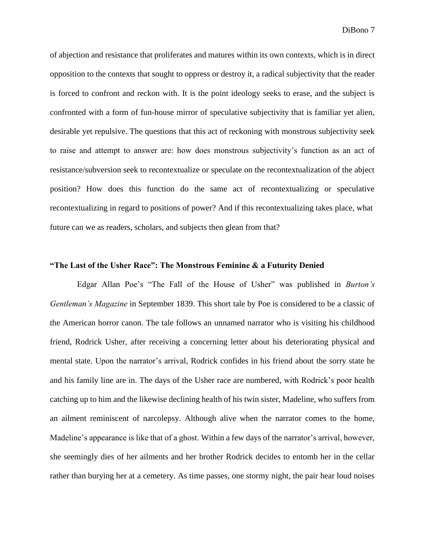of abjection and resistance that proliferates and matures within its own contexts, which is in direct opposition to the contexts that sought to oppress or destroy it, a radical subjectivity that the reader is forced to confront and reckon with. It is the point ideology seeks to erase, and the subject is confronted with a form of fun-house mirror of speculative subjectivity that is familiar yet alien, desirable yet repulsive. The questions that this act of reckoning with monstrous subjectivity seek to raise and attempt to answer are: how does monstrous subjectivity's function as an act of resistance/subversion seek to recontextualize or speculate on the recontextualization of the abject position? How does this function do the same act of recontextualizing or speculative recontextualizing in regard to positions of power? And if this recontextualizing takes place, what future can we as readers, scholars, and subjects then glean from that?

#### **"The Last of the Usher Race": The Monstrous Feminine & a Futurity Denied**

Edgar Allan Poe's "The Fall of the House of Usher" was published in *Burton's Gentleman's Magazine* in September 1839. This short tale by Poe is considered to be a classic of the American horror canon. The tale follows an unnamed narrator who is visiting his childhood friend, Rodrick Usher, after receiving a concerning letter about his deteriorating physical and mental state. Upon the narrator's arrival, Rodrick confides in his friend about the sorry state he and his family line are in. The days of the Usher race are numbered, with Rodrick's poor health catching up to him and the likewise declining health of his twin sister, Madeline, who suffers from an ailment reminiscent of narcolepsy. Although alive when the narrator comes to the home, Madeline's appearance is like that of a ghost. Within a few days of the narrator's arrival, however, she seemingly dies of her ailments and her brother Rodrick decides to entomb her in the cellar rather than burying her at a cemetery. As time passes, one stormy night, the pair hear loud noises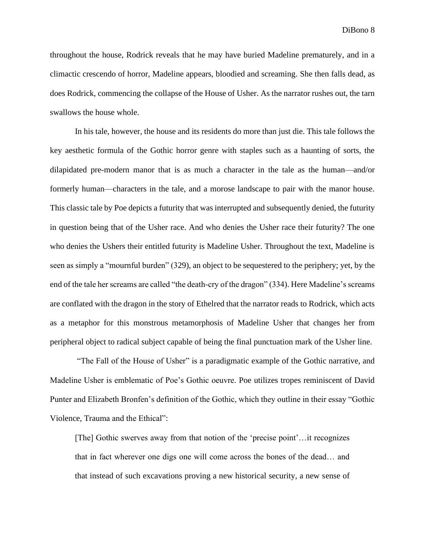throughout the house, Rodrick reveals that he may have buried Madeline prematurely, and in a climactic crescendo of horror, Madeline appears, bloodied and screaming. She then falls dead, as does Rodrick, commencing the collapse of the House of Usher. As the narrator rushes out, the tarn swallows the house whole.

In his tale, however, the house and its residents do more than just die. This tale follows the key aesthetic formula of the Gothic horror genre with staples such as a haunting of sorts, the dilapidated pre-modern manor that is as much a character in the tale as the human—and/or formerly human—characters in the tale, and a morose landscape to pair with the manor house. This classic tale by Poe depicts a futurity that was interrupted and subsequently denied, the futurity in question being that of the Usher race. And who denies the Usher race their futurity? The one who denies the Ushers their entitled futurity is Madeline Usher. Throughout the text, Madeline is seen as simply a "mournful burden" (329), an object to be sequestered to the periphery; yet, by the end of the tale her screams are called "the death-cry of the dragon" (334). Here Madeline's screams are conflated with the dragon in the story of Ethelred that the narrator reads to Rodrick, which acts as a metaphor for this monstrous metamorphosis of Madeline Usher that changes her from peripheral object to radical subject capable of being the final punctuation mark of the Usher line.

"The Fall of the House of Usher" is a paradigmatic example of the Gothic narrative, and Madeline Usher is emblematic of Poe's Gothic oeuvre. Poe utilizes tropes reminiscent of David Punter and Elizabeth Bronfen's definition of the Gothic, which they outline in their essay "Gothic Violence, Trauma and the Ethical":

[The] Gothic swerves away from that notion of the 'precise point'…it recognizes that in fact wherever one digs one will come across the bones of the dead… and that instead of such excavations proving a new historical security, a new sense of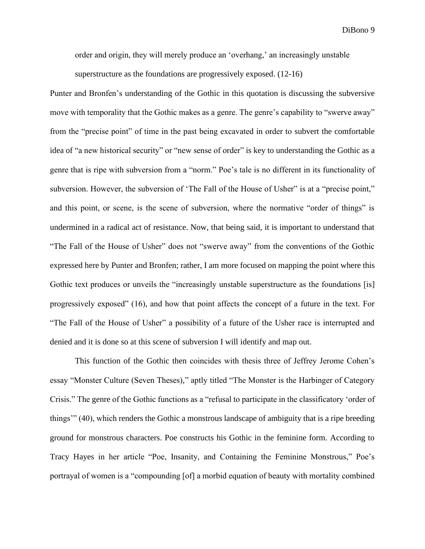order and origin, they will merely produce an 'overhang,' an increasingly unstable

superstructure as the foundations are progressively exposed. (12-16)

Punter and Bronfen's understanding of the Gothic in this quotation is discussing the subversive move with temporality that the Gothic makes as a genre. The genre's capability to "swerve away" from the "precise point" of time in the past being excavated in order to subvert the comfortable idea of "a new historical security" or "new sense of order" is key to understanding the Gothic as a genre that is ripe with subversion from a "norm." Poe's tale is no different in its functionality of subversion. However, the subversion of 'The Fall of the House of Usher" is at a "precise point," and this point, or scene, is the scene of subversion, where the normative "order of things" is undermined in a radical act of resistance. Now, that being said, it is important to understand that "The Fall of the House of Usher" does not "swerve away" from the conventions of the Gothic expressed here by Punter and Bronfen; rather, I am more focused on mapping the point where this Gothic text produces or unveils the "increasingly unstable superstructure as the foundations [is] progressively exposed" (16), and how that point affects the concept of a future in the text. For "The Fall of the House of Usher" a possibility of a future of the Usher race is interrupted and denied and it is done so at this scene of subversion I will identify and map out.

This function of the Gothic then coincides with thesis three of Jeffrey Jerome Cohen's essay "Monster Culture (Seven Theses)," aptly titled "The Monster is the Harbinger of Category Crisis." The genre of the Gothic functions as a "refusal to participate in the classificatory 'order of things'" (40), which renders the Gothic a monstrous landscape of ambiguity that is a ripe breeding ground for monstrous characters. Poe constructs his Gothic in the feminine form. According to Tracy Hayes in her article "Poe, Insanity, and Containing the Feminine Monstrous," Poe's portrayal of women is a "compounding [of] a morbid equation of beauty with mortality combined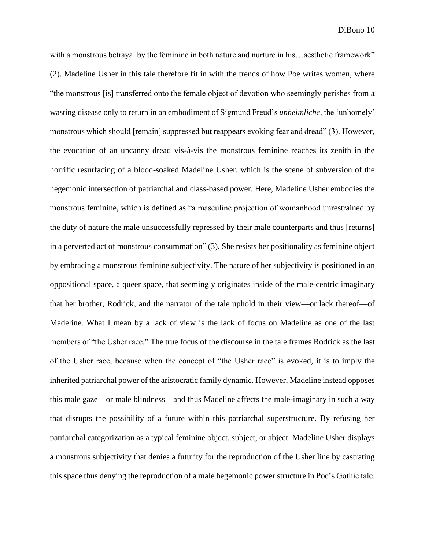with a monstrous betrayal by the feminine in both nature and nurture in his…aesthetic framework" (2). Madeline Usher in this tale therefore fit in with the trends of how Poe writes women, where "the monstrous [is] transferred onto the female object of devotion who seemingly perishes from a wasting disease only to return in an embodiment of Sigmund Freud's *unheimliche,* the 'unhomely' monstrous which should [remain] suppressed but reappears evoking fear and dread" (3). However, the evocation of an uncanny dread vis-à-vis the monstrous feminine reaches its zenith in the horrific resurfacing of a blood-soaked Madeline Usher, which is the scene of subversion of the hegemonic intersection of patriarchal and class-based power. Here, Madeline Usher embodies the monstrous feminine, which is defined as "a masculine projection of womanhood unrestrained by the duty of nature the male unsuccessfully repressed by their male counterparts and thus [returns] in a perverted act of monstrous consummation" (3). She resists her positionality as feminine object by embracing a monstrous feminine subjectivity. The nature of her subjectivity is positioned in an oppositional space, a queer space, that seemingly originates inside of the male-centric imaginary that her brother, Rodrick, and the narrator of the tale uphold in their view—or lack thereof—of Madeline. What I mean by a lack of view is the lack of focus on Madeline as one of the last members of "the Usher race." The true focus of the discourse in the tale frames Rodrick as the last of the Usher race, because when the concept of "the Usher race" is evoked, it is to imply the inherited patriarchal power of the aristocratic family dynamic. However, Madeline instead opposes this male gaze—or male blindness—and thus Madeline affects the male-imaginary in such a way that disrupts the possibility of a future within this patriarchal superstructure. By refusing her patriarchal categorization as a typical feminine object, subject, or abject. Madeline Usher displays a monstrous subjectivity that denies a futurity for the reproduction of the Usher line by castrating this space thus denying the reproduction of a male hegemonic power structure in Poe's Gothic tale.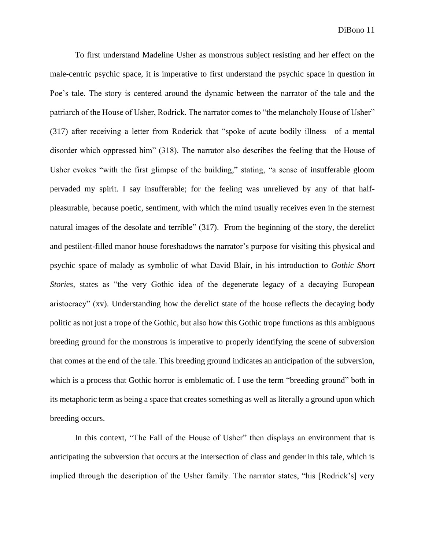To first understand Madeline Usher as monstrous subject resisting and her effect on the male-centric psychic space, it is imperative to first understand the psychic space in question in Poe's tale. The story is centered around the dynamic between the narrator of the tale and the patriarch of the House of Usher, Rodrick. The narrator comes to "the melancholy House of Usher" (317) after receiving a letter from Roderick that "spoke of acute bodily illness—of a mental disorder which oppressed him" (318). The narrator also describes the feeling that the House of Usher evokes "with the first glimpse of the building," stating, "a sense of insufferable gloom pervaded my spirit. I say insufferable; for the feeling was unrelieved by any of that halfpleasurable, because poetic, sentiment, with which the mind usually receives even in the sternest natural images of the desolate and terrible" (317). From the beginning of the story, the derelict and pestilent-filled manor house foreshadows the narrator's purpose for visiting this physical and psychic space of malady as symbolic of what David Blair, in his introduction to *Gothic Short Stories,* states as "the very Gothic idea of the degenerate legacy of a decaying European aristocracy" (xv). Understanding how the derelict state of the house reflects the decaying body politic as not just a trope of the Gothic, but also how this Gothic trope functions as this ambiguous breeding ground for the monstrous is imperative to properly identifying the scene of subversion that comes at the end of the tale. This breeding ground indicates an anticipation of the subversion, which is a process that Gothic horror is emblematic of. I use the term "breeding ground" both in its metaphoric term as being a space that creates something as well as literally a ground upon which breeding occurs.

In this context, "The Fall of the House of Usher" then displays an environment that is anticipating the subversion that occurs at the intersection of class and gender in this tale, which is implied through the description of the Usher family. The narrator states, "his [Rodrick's] very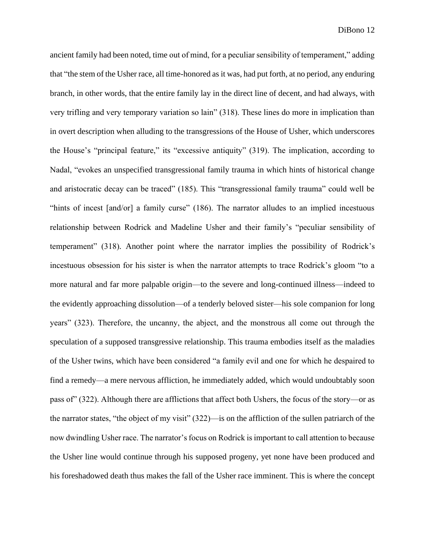ancient family had been noted, time out of mind, for a peculiar sensibility of temperament," adding that "the stem of the Usher race, all time-honored as it was, had put forth, at no period, any enduring branch, in other words, that the entire family lay in the direct line of decent, and had always, with very trifling and very temporary variation so lain" (318). These lines do more in implication than in overt description when alluding to the transgressions of the House of Usher, which underscores the House's "principal feature," its "excessive antiquity" (319). The implication, according to Nadal, "evokes an unspecified transgressional family trauma in which hints of historical change and aristocratic decay can be traced" (185). This "transgressional family trauma" could well be "hints of incest [and/or] a family curse" (186). The narrator alludes to an implied incestuous relationship between Rodrick and Madeline Usher and their family's "peculiar sensibility of temperament" (318). Another point where the narrator implies the possibility of Rodrick's incestuous obsession for his sister is when the narrator attempts to trace Rodrick's gloom "to a more natural and far more palpable origin—to the severe and long-continued illness—indeed to the evidently approaching dissolution—of a tenderly beloved sister—his sole companion for long years" (323). Therefore, the uncanny, the abject, and the monstrous all come out through the speculation of a supposed transgressive relationship. This trauma embodies itself as the maladies of the Usher twins, which have been considered "a family evil and one for which he despaired to find a remedy—a mere nervous affliction, he immediately added, which would undoubtably soon pass of" (322). Although there are afflictions that affect both Ushers, the focus of the story—or as the narrator states, "the object of my visit" (322)—is on the affliction of the sullen patriarch of the now dwindling Usher race. The narrator's focus on Rodrick is important to call attention to because the Usher line would continue through his supposed progeny, yet none have been produced and his foreshadowed death thus makes the fall of the Usher race imminent. This is where the concept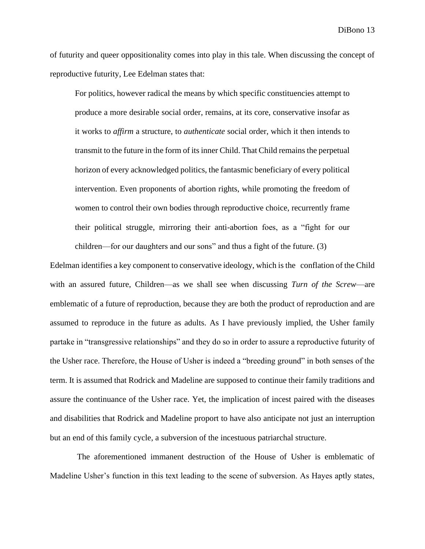of futurity and queer oppositionality comes into play in this tale. When discussing the concept of reproductive futurity, Lee Edelman states that:

For politics, however radical the means by which specific constituencies attempt to produce a more desirable social order, remains, at its core, conservative insofar as it works to *affirm* a structure, to *authenticate* social order, which it then intends to transmit to the future in the form of its inner Child. That Child remains the perpetual horizon of every acknowledged politics, the fantasmic beneficiary of every political intervention. Even proponents of abortion rights, while promoting the freedom of women to control their own bodies through reproductive choice, recurrently frame their political struggle, mirroring their anti-abortion foes, as a "fight for our children—for our daughters and our sons" and thus a fight of the future. (3)

Edelman identifies a key component to conservative ideology, which is the conflation of the Child with an assured future, Children—as we shall see when discussing *Turn of the Screw*—are emblematic of a future of reproduction, because they are both the product of reproduction and are assumed to reproduce in the future as adults. As I have previously implied, the Usher family partake in "transgressive relationships" and they do so in order to assure a reproductive futurity of the Usher race. Therefore, the House of Usher is indeed a "breeding ground" in both senses of the term. It is assumed that Rodrick and Madeline are supposed to continue their family traditions and assure the continuance of the Usher race. Yet, the implication of incest paired with the diseases and disabilities that Rodrick and Madeline proport to have also anticipate not just an interruption but an end of this family cycle, a subversion of the incestuous patriarchal structure.

The aforementioned immanent destruction of the House of Usher is emblematic of Madeline Usher's function in this text leading to the scene of subversion. As Hayes aptly states,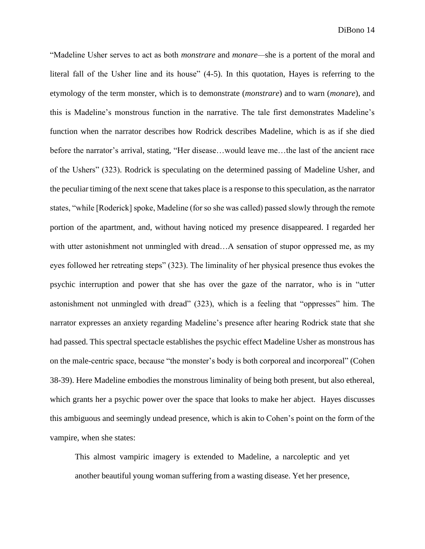"Madeline Usher serves to act as both *monstrare* and *monare—*she is a portent of the moral and literal fall of the Usher line and its house" (4-5). In this quotation, Hayes is referring to the etymology of the term monster, which is to demonstrate (*monstrare*) and to warn (*monare*), and this is Madeline's monstrous function in the narrative. The tale first demonstrates Madeline's function when the narrator describes how Rodrick describes Madeline, which is as if she died before the narrator's arrival, stating, "Her disease…would leave me…the last of the ancient race of the Ushers" (323). Rodrick is speculating on the determined passing of Madeline Usher, and the peculiar timing of the next scene that takes place is a response to this speculation, as the narrator states, "while [Roderick] spoke, Madeline (for so she was called) passed slowly through the remote portion of the apartment, and, without having noticed my presence disappeared. I regarded her with utter astonishment not unmingled with dread...A sensation of stupor oppressed me, as my eyes followed her retreating steps" (323). The liminality of her physical presence thus evokes the psychic interruption and power that she has over the gaze of the narrator, who is in "utter astonishment not unmingled with dread" (323), which is a feeling that "oppresses" him. The narrator expresses an anxiety regarding Madeline's presence after hearing Rodrick state that she had passed. This spectral spectacle establishes the psychic effect Madeline Usher as monstrous has on the male-centric space, because "the monster's body is both corporeal and incorporeal" (Cohen 38-39). Here Madeline embodies the monstrous liminality of being both present, but also ethereal, which grants her a psychic power over the space that looks to make her abject. Hayes discusses this ambiguous and seemingly undead presence, which is akin to Cohen's point on the form of the vampire, when she states:

This almost vampiric imagery is extended to Madeline, a narcoleptic and yet another beautiful young woman suffering from a wasting disease. Yet her presence,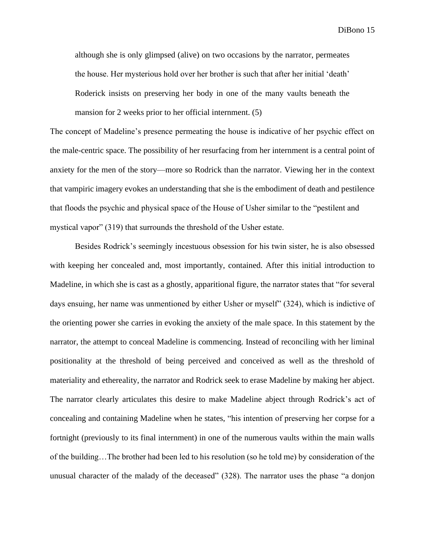although she is only glimpsed (alive) on two occasions by the narrator, permeates the house. Her mysterious hold over her brother is such that after her initial 'death' Roderick insists on preserving her body in one of the many vaults beneath the mansion for 2 weeks prior to her official internment. (5)

The concept of Madeline's presence permeating the house is indicative of her psychic effect on the male-centric space. The possibility of her resurfacing from her internment is a central point of anxiety for the men of the story—more so Rodrick than the narrator. Viewing her in the context that vampiric imagery evokes an understanding that she is the embodiment of death and pestilence that floods the psychic and physical space of the House of Usher similar to the "pestilent and mystical vapor" (319) that surrounds the threshold of the Usher estate.

Besides Rodrick's seemingly incestuous obsession for his twin sister, he is also obsessed with keeping her concealed and, most importantly, contained. After this initial introduction to Madeline, in which she is cast as a ghostly, apparitional figure, the narrator states that "for several days ensuing, her name was unmentioned by either Usher or myself" (324), which is indictive of the orienting power she carries in evoking the anxiety of the male space. In this statement by the narrator, the attempt to conceal Madeline is commencing. Instead of reconciling with her liminal positionality at the threshold of being perceived and conceived as well as the threshold of materiality and ethereality, the narrator and Rodrick seek to erase Madeline by making her abject. The narrator clearly articulates this desire to make Madeline abject through Rodrick's act of concealing and containing Madeline when he states, "his intention of preserving her corpse for a fortnight (previously to its final internment) in one of the numerous vaults within the main walls of the building…The brother had been led to his resolution (so he told me) by consideration of the unusual character of the malady of the deceased" (328). The narrator uses the phase "a donjon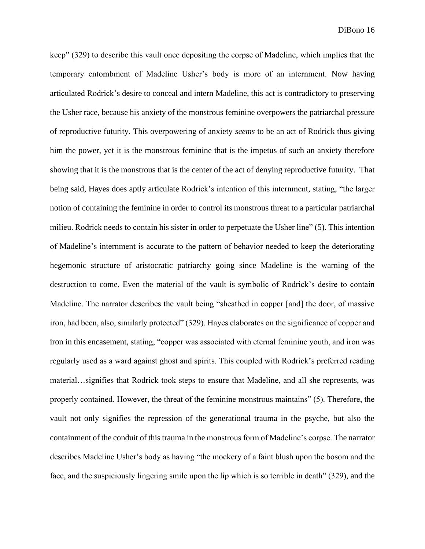keep" (329) to describe this vault once depositing the corpse of Madeline, which implies that the temporary entombment of Madeline Usher's body is more of an internment. Now having articulated Rodrick's desire to conceal and intern Madeline, this act is contradictory to preserving the Usher race, because his anxiety of the monstrous feminine overpowers the patriarchal pressure of reproductive futurity. This overpowering of anxiety *seems* to be an act of Rodrick thus giving him the power, yet it is the monstrous feminine that is the impetus of such an anxiety therefore showing that it is the monstrous that is the center of the act of denying reproductive futurity. That being said, Hayes does aptly articulate Rodrick's intention of this internment, stating, "the larger notion of containing the feminine in order to control its monstrous threat to a particular patriarchal milieu. Rodrick needs to contain his sister in order to perpetuate the Usher line" (5). This intention of Madeline's internment is accurate to the pattern of behavior needed to keep the deteriorating hegemonic structure of aristocratic patriarchy going since Madeline is the warning of the destruction to come. Even the material of the vault is symbolic of Rodrick's desire to contain Madeline. The narrator describes the vault being "sheathed in copper [and] the door, of massive iron, had been, also, similarly protected" (329). Hayes elaborates on the significance of copper and iron in this encasement, stating, "copper was associated with eternal feminine youth, and iron was regularly used as a ward against ghost and spirits. This coupled with Rodrick's preferred reading material…signifies that Rodrick took steps to ensure that Madeline, and all she represents, was properly contained. However, the threat of the feminine monstrous maintains" (5). Therefore, the vault not only signifies the repression of the generational trauma in the psyche, but also the containment of the conduit of this trauma in the monstrous form of Madeline's corpse. The narrator describes Madeline Usher's body as having "the mockery of a faint blush upon the bosom and the face, and the suspiciously lingering smile upon the lip which is so terrible in death" (329), and the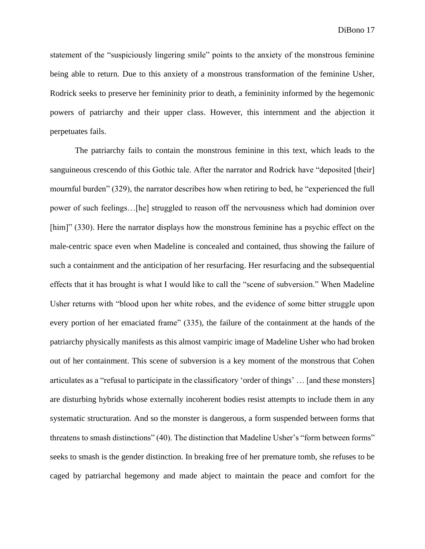statement of the "suspiciously lingering smile" points to the anxiety of the monstrous feminine being able to return. Due to this anxiety of a monstrous transformation of the feminine Usher, Rodrick seeks to preserve her femininity prior to death, a femininity informed by the hegemonic powers of patriarchy and their upper class. However, this internment and the abjection it perpetuates fails.

The patriarchy fails to contain the monstrous feminine in this text, which leads to the sanguineous crescendo of this Gothic tale. After the narrator and Rodrick have "deposited [their] mournful burden" (329), the narrator describes how when retiring to bed, he "experienced the full power of such feelings…[he] struggled to reason off the nervousness which had dominion over [him]" (330). Here the narrator displays how the monstrous feminine has a psychic effect on the male-centric space even when Madeline is concealed and contained, thus showing the failure of such a containment and the anticipation of her resurfacing. Her resurfacing and the subsequential effects that it has brought is what I would like to call the "scene of subversion." When Madeline Usher returns with "blood upon her white robes, and the evidence of some bitter struggle upon every portion of her emaciated frame" (335), the failure of the containment at the hands of the patriarchy physically manifests as this almost vampiric image of Madeline Usher who had broken out of her containment. This scene of subversion is a key moment of the monstrous that Cohen articulates as a "refusal to participate in the classificatory 'order of things' … [and these monsters] are disturbing hybrids whose externally incoherent bodies resist attempts to include them in any systematic structuration. And so the monster is dangerous, a form suspended between forms that threatens to smash distinctions" (40). The distinction that Madeline Usher's "form between forms" seeks to smash is the gender distinction. In breaking free of her premature tomb, she refuses to be caged by patriarchal hegemony and made abject to maintain the peace and comfort for the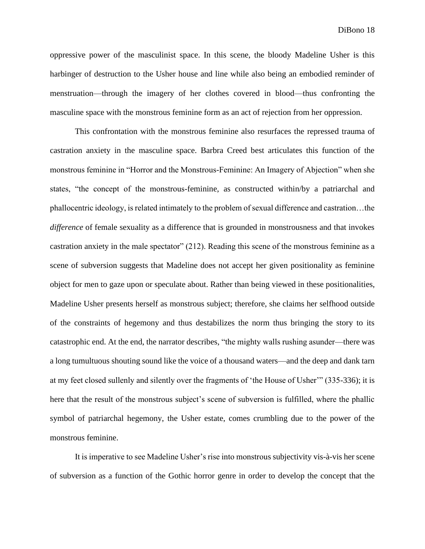oppressive power of the masculinist space. In this scene, the bloody Madeline Usher is this harbinger of destruction to the Usher house and line while also being an embodied reminder of menstruation—through the imagery of her clothes covered in blood—thus confronting the masculine space with the monstrous feminine form as an act of rejection from her oppression.

This confrontation with the monstrous feminine also resurfaces the repressed trauma of castration anxiety in the masculine space. Barbra Creed best articulates this function of the monstrous feminine in "Horror and the Monstrous-Feminine: An Imagery of Abjection" when she states, "the concept of the monstrous-feminine, as constructed within/by a patriarchal and phallocentric ideology, is related intimately to the problem of sexual difference and castration…the *difference* of female sexuality as a difference that is grounded in monstrousness and that invokes castration anxiety in the male spectator" (212). Reading this scene of the monstrous feminine as a scene of subversion suggests that Madeline does not accept her given positionality as feminine object for men to gaze upon or speculate about. Rather than being viewed in these positionalities, Madeline Usher presents herself as monstrous subject; therefore, she claims her selfhood outside of the constraints of hegemony and thus destabilizes the norm thus bringing the story to its catastrophic end. At the end, the narrator describes, "the mighty walls rushing asunder—there was a long tumultuous shouting sound like the voice of a thousand waters—and the deep and dank tarn at my feet closed sullenly and silently over the fragments of 'the House of Usher'" (335-336); it is here that the result of the monstrous subject's scene of subversion is fulfilled, where the phallic symbol of patriarchal hegemony, the Usher estate, comes crumbling due to the power of the monstrous feminine.

It is imperative to see Madeline Usher's rise into monstrous subjectivity vis-à-vis her scene of subversion as a function of the Gothic horror genre in order to develop the concept that the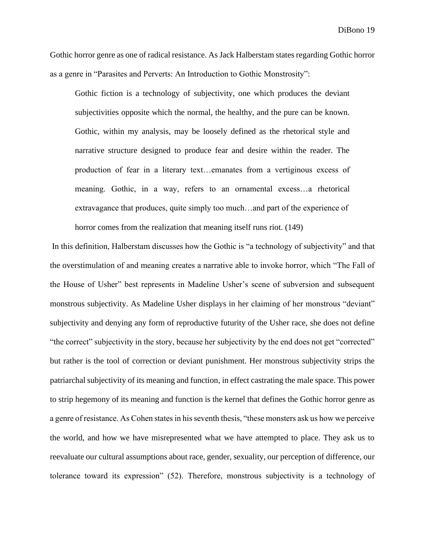Gothic horror genre as one of radical resistance. As Jack Halberstam states regarding Gothic horror as a genre in "Parasites and Perverts: An Introduction to Gothic Monstrosity":

Gothic fiction is a technology of subjectivity, one which produces the deviant subjectivities opposite which the normal, the healthy, and the pure can be known. Gothic, within my analysis, may be loosely defined as the rhetorical style and narrative structure designed to produce fear and desire within the reader. The production of fear in a literary text…emanates from a vertiginous excess of meaning. Gothic, in a way, refers to an ornamental excess…a rhetorical extravagance that produces, quite simply too much…and part of the experience of horror comes from the realization that meaning itself runs riot. (149)

In this definition, Halberstam discusses how the Gothic is "a technology of subjectivity" and that the overstimulation of and meaning creates a narrative able to invoke horror, which "The Fall of the House of Usher" best represents in Madeline Usher's scene of subversion and subsequent monstrous subjectivity. As Madeline Usher displays in her claiming of her monstrous "deviant" subjectivity and denying any form of reproductive futurity of the Usher race, she does not define "the correct" subjectivity in the story, because her subjectivity by the end does not get "corrected" but rather is the tool of correction or deviant punishment. Her monstrous subjectivity strips the patriarchal subjectivity of its meaning and function, in effect castrating the male space. This power to strip hegemony of its meaning and function is the kernel that defines the Gothic horror genre as a genre of resistance. As Cohen states in his seventh thesis, "these monsters ask us how we perceive the world, and how we have misrepresented what we have attempted to place. They ask us to reevaluate our cultural assumptions about race, gender, sexuality, our perception of difference, our tolerance toward its expression" (52). Therefore, monstrous subjectivity is a technology of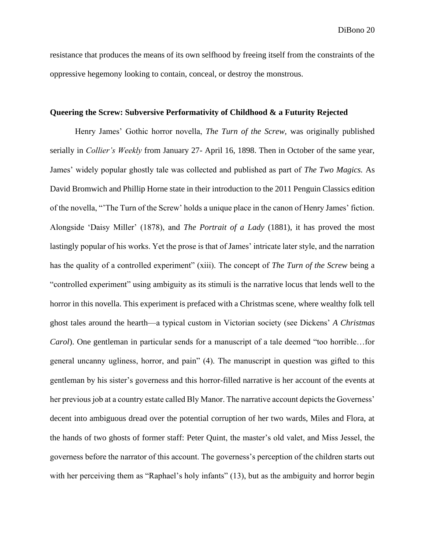resistance that produces the means of its own selfhood by freeing itself from the constraints of the oppressive hegemony looking to contain, conceal, or destroy the monstrous.

#### **Queering the Screw: Subversive Performativity of Childhood & a Futurity Rejected**

Henry James' Gothic horror novella, *The Turn of the Screw,* was originally published serially in *Collier's Weekly* from January 27- April 16, 1898. Then in October of the same year, James' widely popular ghostly tale was collected and published as part of *The Two Magics.* As David Bromwich and Phillip Horne state in their introduction to the 2011 Penguin Classics edition of the novella, "'The Turn of the Screw' holds a unique place in the canon of Henry James' fiction. Alongside 'Daisy Miller' (1878), and *The Portrait of a Lady* (1881), it has proved the most lastingly popular of his works. Yet the prose is that of James' intricate later style, and the narration has the quality of a controlled experiment" (xiii). The concept of *The Turn of the Screw* being a "controlled experiment" using ambiguity as its stimuli is the narrative locus that lends well to the horror in this novella. This experiment is prefaced with a Christmas scene, where wealthy folk tell ghost tales around the hearth—a typical custom in Victorian society (see Dickens' *A Christmas Carol*). One gentleman in particular sends for a manuscript of a tale deemed "too horrible…for general uncanny ugliness, horror, and pain" (4). The manuscript in question was gifted to this gentleman by his sister's governess and this horror-filled narrative is her account of the events at her previous job at a country estate called Bly Manor. The narrative account depicts the Governess' decent into ambiguous dread over the potential corruption of her two wards, Miles and Flora, at the hands of two ghosts of former staff: Peter Quint, the master's old valet, and Miss Jessel, the governess before the narrator of this account. The governess's perception of the children starts out with her perceiving them as "Raphael's holy infants" (13), but as the ambiguity and horror begin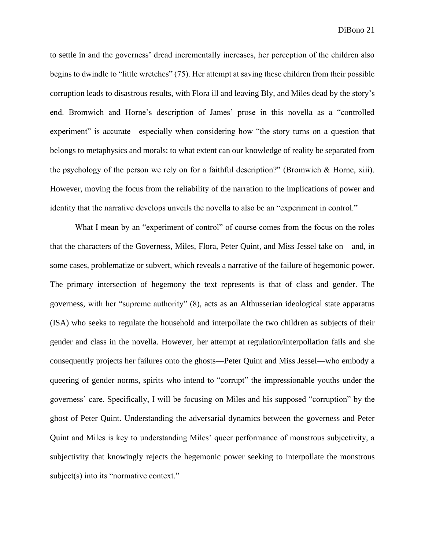to settle in and the governess' dread incrementally increases, her perception of the children also begins to dwindle to "little wretches" (75). Her attempt at saving these children from their possible corruption leads to disastrous results, with Flora ill and leaving Bly, and Miles dead by the story's end. Bromwich and Horne's description of James' prose in this novella as a "controlled experiment" is accurate—especially when considering how "the story turns on a question that belongs to metaphysics and morals: to what extent can our knowledge of reality be separated from the psychology of the person we rely on for a faithful description?" (Bromwich & Horne, xiii). However, moving the focus from the reliability of the narration to the implications of power and identity that the narrative develops unveils the novella to also be an "experiment in control."

What I mean by an "experiment of control" of course comes from the focus on the roles that the characters of the Governess, Miles, Flora, Peter Quint, and Miss Jessel take on—and, in some cases, problematize or subvert, which reveals a narrative of the failure of hegemonic power. The primary intersection of hegemony the text represents is that of class and gender. The governess, with her "supreme authority" (8), acts as an Althusserian ideological state apparatus (ISA) who seeks to regulate the household and interpollate the two children as subjects of their gender and class in the novella. However, her attempt at regulation/interpollation fails and she consequently projects her failures onto the ghosts—Peter Quint and Miss Jessel—who embody a queering of gender norms, spirits who intend to "corrupt" the impressionable youths under the governess' care. Specifically, I will be focusing on Miles and his supposed "corruption" by the ghost of Peter Quint. Understanding the adversarial dynamics between the governess and Peter Quint and Miles is key to understanding Miles' queer performance of monstrous subjectivity, a subjectivity that knowingly rejects the hegemonic power seeking to interpollate the monstrous subject(s) into its "normative context."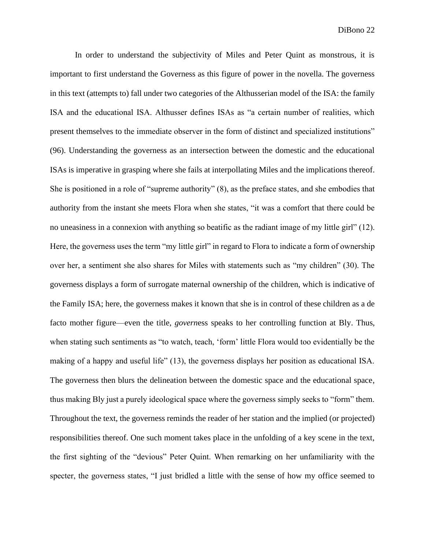In order to understand the subjectivity of Miles and Peter Quint as monstrous, it is important to first understand the Governess as this figure of power in the novella. The governess in this text (attempts to) fall under two categories of the Althusserian model of the ISA: the family ISA and the educational ISA. Althusser defines ISAs as "a certain number of realities, which present themselves to the immediate observer in the form of distinct and specialized institutions" (96). Understanding the governess as an intersection between the domestic and the educational ISAs is imperative in grasping where she fails at interpollating Miles and the implications thereof. She is positioned in a role of "supreme authority" (8), as the preface states, and she embodies that authority from the instant she meets Flora when she states, "it was a comfort that there could be no uneasiness in a connexion with anything so beatific as the radiant image of my little girl" (12). Here, the governess uses the term "my little girl" in regard to Flora to indicate a form of ownership over her, a sentiment she also shares for Miles with statements such as "my children" (30). The governess displays a form of surrogate maternal ownership of the children, which is indicative of the Family ISA; here, the governess makes it known that she is in control of these children as a de facto mother figure—even the title, *govern*ess speaks to her controlling function at Bly. Thus, when stating such sentiments as "to watch, teach, 'form' little Flora would too evidentially be the making of a happy and useful life" (13), the governess displays her position as educational ISA. The governess then blurs the delineation between the domestic space and the educational space, thus making Bly just a purely ideological space where the governess simply seeks to "form" them. Throughout the text, the governess reminds the reader of her station and the implied (or projected) responsibilities thereof. One such moment takes place in the unfolding of a key scene in the text, the first sighting of the "devious" Peter Quint. When remarking on her unfamiliarity with the specter, the governess states, "I just bridled a little with the sense of how my office seemed to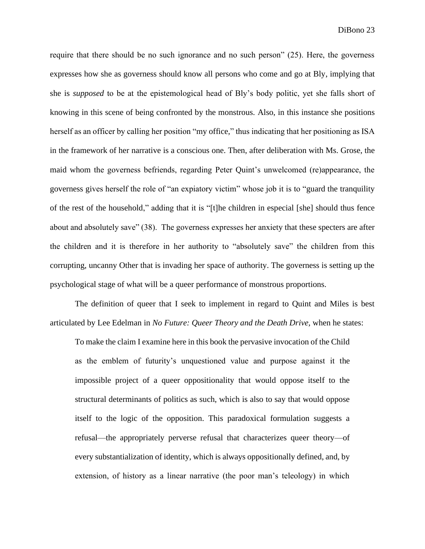require that there should be no such ignorance and no such person" (25). Here, the governess expresses how she as governess should know all persons who come and go at Bly, implying that she is *supposed* to be at the epistemological head of Bly's body politic, yet she falls short of knowing in this scene of being confronted by the monstrous. Also, in this instance she positions herself as an officer by calling her position "my office," thus indicating that her positioning as ISA in the framework of her narrative is a conscious one. Then, after deliberation with Ms. Grose, the maid whom the governess befriends, regarding Peter Quint's unwelcomed (re)appearance, the governess gives herself the role of "an expiatory victim" whose job it is to "guard the tranquility of the rest of the household," adding that it is "[t]he children in especial [she] should thus fence about and absolutely save" (38). The governess expresses her anxiety that these specters are after the children and it is therefore in her authority to "absolutely save" the children from this corrupting, uncanny Other that is invading her space of authority. The governess is setting up the psychological stage of what will be a queer performance of monstrous proportions.

The definition of queer that I seek to implement in regard to Quint and Miles is best articulated by Lee Edelman in *No Future: Queer Theory and the Death Drive,* when he states:

To make the claim I examine here in this book the pervasive invocation of the Child as the emblem of futurity's unquestioned value and purpose against it the impossible project of a queer oppositionality that would oppose itself to the structural determinants of politics as such, which is also to say that would oppose itself to the logic of the opposition. This paradoxical formulation suggests a refusal—the appropriately perverse refusal that characterizes queer theory—of every substantialization of identity, which is always oppositionally defined, and, by extension, of history as a linear narrative (the poor man's teleology) in which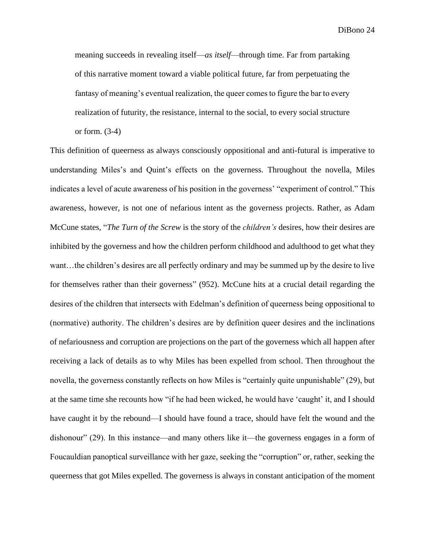meaning succeeds in revealing itself—*as itself*—through time. Far from partaking of this narrative moment toward a viable political future, far from perpetuating the fantasy of meaning's eventual realization, the queer comes to figure the bar to every realization of futurity, the resistance, internal to the social, to every social structure or form. (3-4)

This definition of queerness as always consciously oppositional and anti-futural is imperative to understanding Miles's and Quint's effects on the governess. Throughout the novella, Miles indicates a level of acute awareness of his position in the governess' "experiment of control." This awareness, however, is not one of nefarious intent as the governess projects. Rather, as Adam McCune states, "*The Turn of the Screw* is the story of the *children's* desires, how their desires are inhibited by the governess and how the children perform childhood and adulthood to get what they want…the children's desires are all perfectly ordinary and may be summed up by the desire to live for themselves rather than their governess" (952). McCune hits at a crucial detail regarding the desires of the children that intersects with Edelman's definition of queerness being oppositional to (normative) authority. The children's desires are by definition queer desires and the inclinations of nefariousness and corruption are projections on the part of the governess which all happen after receiving a lack of details as to why Miles has been expelled from school. Then throughout the novella, the governess constantly reflects on how Miles is "certainly quite unpunishable" (29), but at the same time she recounts how "if he had been wicked, he would have 'caught' it, and I should have caught it by the rebound—I should have found a trace, should have felt the wound and the dishonour" (29). In this instance—and many others like it—the governess engages in a form of Foucauldian panoptical surveillance with her gaze, seeking the "corruption" or, rather, seeking the queerness that got Miles expelled. The governess is always in constant anticipation of the moment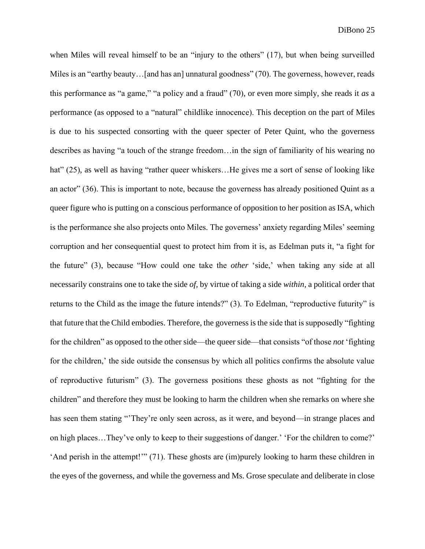when Miles will reveal himself to be an "injury to the others" (17), but when being surveilled Miles is an "earthy beauty...[and has an] unnatural goodness" (70). The governess, however, reads this performance as "a game," "a policy and a fraud" (70), or even more simply, she reads it *as* a performance (as opposed to a "natural" childlike innocence). This deception on the part of Miles is due to his suspected consorting with the queer specter of Peter Quint, who the governess describes as having "a touch of the strange freedom…in the sign of familiarity of his wearing no hat" (25), as well as having "rather queer whiskers...He gives me a sort of sense of looking like an actor" (36). This is important to note, because the governess has already positioned Quint as a queer figure who is putting on a conscious performance of opposition to her position as ISA, which is the performance she also projects onto Miles. The governess' anxiety regarding Miles' seeming corruption and her consequential quest to protect him from it is, as Edelman puts it, "a fight for the future" (3), because "How could one take the *other* 'side,' when taking any side at all necessarily constrains one to take the side *of,* by virtue of taking a side *within*, a political order that returns to the Child as the image the future intends?" (3). To Edelman, "reproductive futurity" is that future that the Child embodies. Therefore, the governess is the side that is supposedly "fighting for the children" as opposed to the other side—the queer side—that consists "of those *not* 'fighting for the children,' the side outside the consensus by which all politics confirms the absolute value of reproductive futurism" (3). The governess positions these ghosts as not "fighting for the children" and therefore they must be looking to harm the children when she remarks on where she has seen them stating "They're only seen across, as it were, and beyond—in strange places and on high places…They've only to keep to their suggestions of danger.' 'For the children to come?' 'And perish in the attempt!'" (71). These ghosts are (im)purely looking to harm these children in the eyes of the governess, and while the governess and Ms. Grose speculate and deliberate in close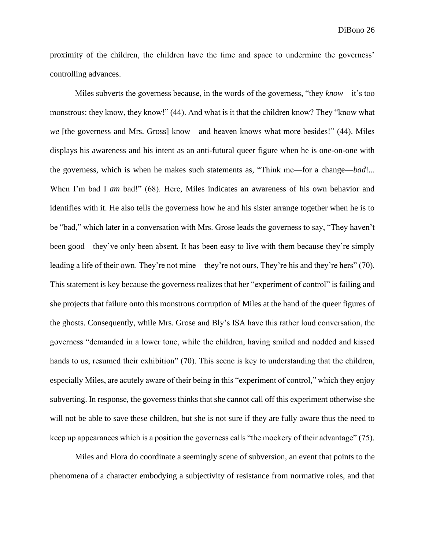proximity of the children, the children have the time and space to undermine the governess' controlling advances.

Miles subverts the governess because, in the words of the governess, "they *know*—it's too monstrous: they know, they know!" (44). And what is it that the children know? They "know what *we* [the governess and Mrs. Gross] know—and heaven knows what more besides!" (44). Miles displays his awareness and his intent as an anti-futural queer figure when he is one-on-one with the governess, which is when he makes such statements as, "Think me—for a change—*bad*!... When I'm bad I *am* bad!" (68). Here, Miles indicates an awareness of his own behavior and identifies with it. He also tells the governess how he and his sister arrange together when he is to be "bad," which later in a conversation with Mrs. Grose leads the governess to say, "They haven't been good—they've only been absent. It has been easy to live with them because they're simply leading a life of their own. They're not mine—they're not ours, They're his and they're hers" (70). This statement is key because the governess realizes that her "experiment of control" is failing and she projects that failure onto this monstrous corruption of Miles at the hand of the queer figures of the ghosts. Consequently, while Mrs. Grose and Bly's ISA have this rather loud conversation, the governess "demanded in a lower tone, while the children, having smiled and nodded and kissed hands to us, resumed their exhibition" (70). This scene is key to understanding that the children, especially Miles, are acutely aware of their being in this "experiment of control," which they enjoy subverting. In response, the governess thinks that she cannot call off this experiment otherwise she will not be able to save these children, but she is not sure if they are fully aware thus the need to keep up appearances which is a position the governess calls "the mockery of their advantage" (75).

Miles and Flora do coordinate a seemingly scene of subversion, an event that points to the phenomena of a character embodying a subjectivity of resistance from normative roles, and that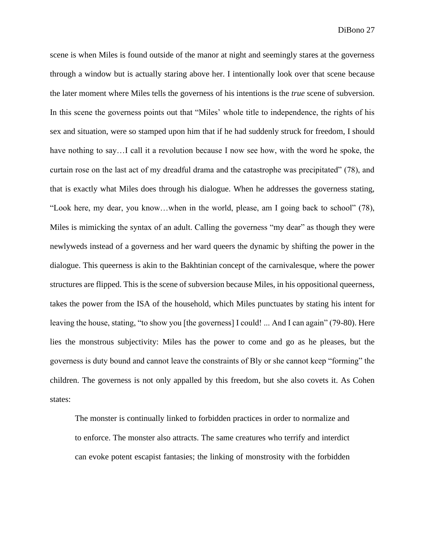scene is when Miles is found outside of the manor at night and seemingly stares at the governess through a window but is actually staring above her. I intentionally look over that scene because the later moment where Miles tells the governess of his intentions is the *true* scene of subversion. In this scene the governess points out that "Miles' whole title to independence, the rights of his sex and situation, were so stamped upon him that if he had suddenly struck for freedom, I should have nothing to say...I call it a revolution because I now see how, with the word he spoke, the curtain rose on the last act of my dreadful drama and the catastrophe was precipitated" (78), and that is exactly what Miles does through his dialogue. When he addresses the governess stating, "Look here, my dear, you know…when in the world, please, am I going back to school" (78), Miles is mimicking the syntax of an adult. Calling the governess "my dear" as though they were newlyweds instead of a governess and her ward queers the dynamic by shifting the power in the dialogue. This queerness is akin to the Bakhtinian concept of the carnivalesque, where the power structures are flipped. This is the scene of subversion because Miles, in his oppositional queerness, takes the power from the ISA of the household, which Miles punctuates by stating his intent for leaving the house, stating, "to show you [the governess] I could! ... And I can again" (79-80). Here lies the monstrous subjectivity: Miles has the power to come and go as he pleases, but the governess is duty bound and cannot leave the constraints of Bly or she cannot keep "forming" the children. The governess is not only appalled by this freedom, but she also covets it. As Cohen states:

The monster is continually linked to forbidden practices in order to normalize and to enforce. The monster also attracts. The same creatures who terrify and interdict can evoke potent escapist fantasies; the linking of monstrosity with the forbidden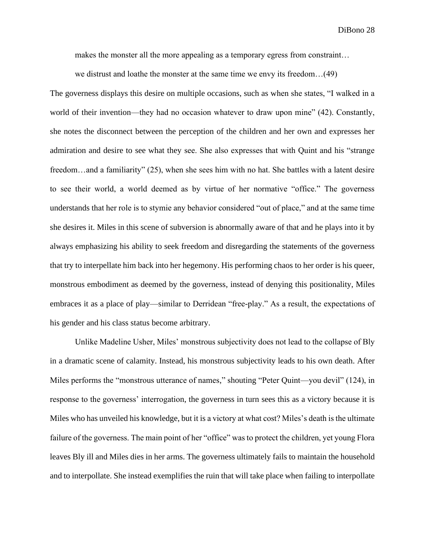makes the monster all the more appealing as a temporary egress from constraint…

we distrust and loathe the monster at the same time we envy its freedom…(49)

The governess displays this desire on multiple occasions, such as when she states, "I walked in a world of their invention—they had no occasion whatever to draw upon mine" (42). Constantly, she notes the disconnect between the perception of the children and her own and expresses her admiration and desire to see what they see. She also expresses that with Quint and his "strange freedom…and a familiarity" (25), when she sees him with no hat. She battles with a latent desire to see their world, a world deemed as by virtue of her normative "office." The governess understands that her role is to stymie any behavior considered "out of place," and at the same time she desires it. Miles in this scene of subversion is abnormally aware of that and he plays into it by always emphasizing his ability to seek freedom and disregarding the statements of the governess that try to interpellate him back into her hegemony. His performing chaos to her order is his queer, monstrous embodiment as deemed by the governess, instead of denying this positionality, Miles embraces it as a place of play—similar to Derridean "free-play." As a result, the expectations of his gender and his class status become arbitrary.

Unlike Madeline Usher, Miles' monstrous subjectivity does not lead to the collapse of Bly in a dramatic scene of calamity. Instead, his monstrous subjectivity leads to his own death. After Miles performs the "monstrous utterance of names," shouting "Peter Quint—you devil" (124), in response to the governess' interrogation, the governess in turn sees this as a victory because it is Miles who has unveiled his knowledge, but it is a victory at what cost? Miles's death is the ultimate failure of the governess. The main point of her "office" was to protect the children, yet young Flora leaves Bly ill and Miles dies in her arms. The governess ultimately fails to maintain the household and to interpollate. She instead exemplifies the ruin that will take place when failing to interpollate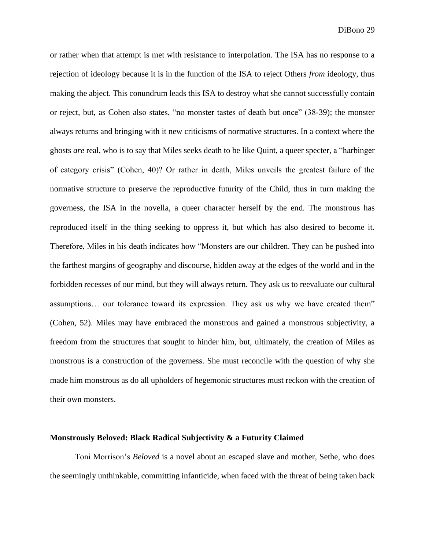or rather when that attempt is met with resistance to interpolation. The ISA has no response to a rejection of ideology because it is in the function of the ISA to reject Others *from* ideology, thus making the abject. This conundrum leads this ISA to destroy what she cannot successfully contain or reject, but, as Cohen also states, "no monster tastes of death but once" (38-39); the monster always returns and bringing with it new criticisms of normative structures. In a context where the ghosts *are* real, who is to say that Miles seeks death to be like Quint, a queer specter, a "harbinger of category crisis" (Cohen, 40)? Or rather in death, Miles unveils the greatest failure of the normative structure to preserve the reproductive futurity of the Child, thus in turn making the governess, the ISA in the novella, a queer character herself by the end. The monstrous has reproduced itself in the thing seeking to oppress it, but which has also desired to become it. Therefore, Miles in his death indicates how "Monsters are our children. They can be pushed into the farthest margins of geography and discourse, hidden away at the edges of the world and in the forbidden recesses of our mind, but they will always return. They ask us to reevaluate our cultural assumptions… our tolerance toward its expression. They ask us why we have created them" (Cohen, 52). Miles may have embraced the monstrous and gained a monstrous subjectivity, a freedom from the structures that sought to hinder him, but, ultimately, the creation of Miles as monstrous is a construction of the governess. She must reconcile with the question of why she made him monstrous as do all upholders of hegemonic structures must reckon with the creation of their own monsters.

#### **Monstrously Beloved: Black Radical Subjectivity & a Futurity Claimed**

Toni Morrison's *Beloved* is a novel about an escaped slave and mother, Sethe, who does the seemingly unthinkable, committing infanticide, when faced with the threat of being taken back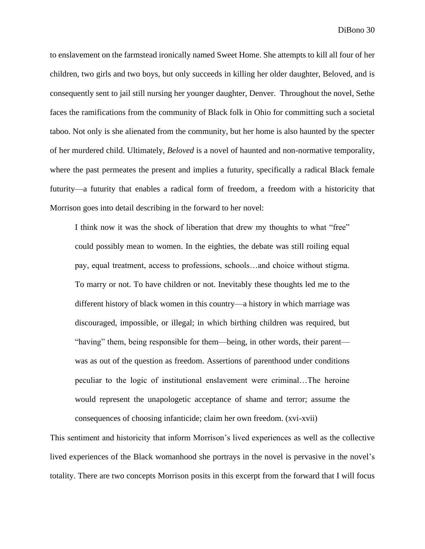to enslavement on the farmstead ironically named Sweet Home. She attempts to kill all four of her children, two girls and two boys, but only succeeds in killing her older daughter, Beloved, and is consequently sent to jail still nursing her younger daughter, Denver. Throughout the novel, Sethe faces the ramifications from the community of Black folk in Ohio for committing such a societal taboo. Not only is she alienated from the community, but her home is also haunted by the specter of her murdered child. Ultimately, *Beloved* is a novel of haunted and non-normative temporality, where the past permeates the present and implies a futurity, specifically a radical Black female futurity—a futurity that enables a radical form of freedom, a freedom with a historicity that Morrison goes into detail describing in the forward to her novel:

I think now it was the shock of liberation that drew my thoughts to what "free" could possibly mean to women. In the eighties, the debate was still roiling equal pay, equal treatment, access to professions, schools…and choice without stigma. To marry or not. To have children or not. Inevitably these thoughts led me to the different history of black women in this country—a history in which marriage was discouraged, impossible, or illegal; in which birthing children was required, but "having" them, being responsible for them—being, in other words, their parent was as out of the question as freedom. Assertions of parenthood under conditions peculiar to the logic of institutional enslavement were criminal…The heroine would represent the unapologetic acceptance of shame and terror; assume the consequences of choosing infanticide; claim her own freedom. (xvi-xvii)

This sentiment and historicity that inform Morrison's lived experiences as well as the collective lived experiences of the Black womanhood she portrays in the novel is pervasive in the novel's totality. There are two concepts Morrison posits in this excerpt from the forward that I will focus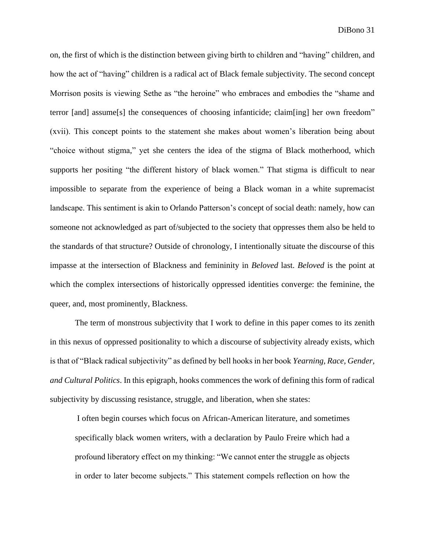on, the first of which is the distinction between giving birth to children and "having" children, and how the act of "having" children is a radical act of Black female subjectivity. The second concept Morrison posits is viewing Sethe as "the heroine" who embraces and embodies the "shame and terror [and] assume[s] the consequences of choosing infanticide; claim[ing] her own freedom" (xvii). This concept points to the statement she makes about women's liberation being about "choice without stigma," yet she centers the idea of the stigma of Black motherhood, which supports her positing "the different history of black women." That stigma is difficult to near impossible to separate from the experience of being a Black woman in a white supremacist landscape. This sentiment is akin to Orlando Patterson's concept of social death: namely, how can someone not acknowledged as part of/subjected to the society that oppresses them also be held to the standards of that structure? Outside of chronology, I intentionally situate the discourse of this impasse at the intersection of Blackness and femininity in *Beloved* last. *Beloved* is the point at which the complex intersections of historically oppressed identities converge: the feminine, the queer, and, most prominently, Blackness.

The term of monstrous subjectivity that I work to define in this paper comes to its zenith in this nexus of oppressed positionality to which a discourse of subjectivity already exists, which is that of "Black radical subjectivity" as defined by bell hooks in her book *Yearning, Race, Gender, and Cultural Politics*. In this epigraph, hooks commences the work of defining this form of radical subjectivity by discussing resistance, struggle, and liberation, when she states:

I often begin courses which focus on African-American literature, and sometimes specifically black women writers, with a declaration by Paulo Freire which had a profound liberatory effect on my thinking: "We cannot enter the struggle as objects in order to later become subjects." This statement compels reflection on how the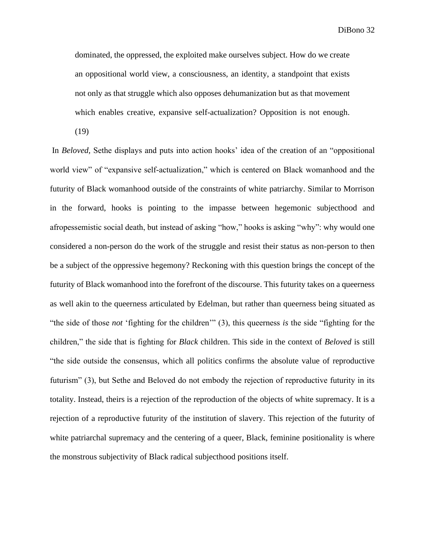dominated, the oppressed, the exploited make ourselves subject. How do we create an oppositional world view, a consciousness, an identity, a standpoint that exists not only as that struggle which also opposes dehumanization but as that movement which enables creative, expansive self-actualization? Opposition is not enough.

(19)

In *Beloved,* Sethe displays and puts into action hooks' idea of the creation of an "oppositional world view" of "expansive self-actualization," which is centered on Black womanhood and the futurity of Black womanhood outside of the constraints of white patriarchy. Similar to Morrison in the forward, hooks is pointing to the impasse between hegemonic subjecthood and afropessemistic social death, but instead of asking "how," hooks is asking "why": why would one considered a non-person do the work of the struggle and resist their status as non-person to then be a subject of the oppressive hegemony? Reckoning with this question brings the concept of the futurity of Black womanhood into the forefront of the discourse. This futurity takes on a queerness as well akin to the queerness articulated by Edelman, but rather than queerness being situated as "the side of those *not* 'fighting for the children'" (3), this queerness *is* the side "fighting for the children," the side that is fighting for *Black* children. This side in the context of *Beloved* is still "the side outside the consensus, which all politics confirms the absolute value of reproductive futurism" (3), but Sethe and Beloved do not embody the rejection of reproductive futurity in its totality. Instead, theirs is a rejection of the reproduction of the objects of white supremacy. It is a rejection of a reproductive futurity of the institution of slavery. This rejection of the futurity of white patriarchal supremacy and the centering of a queer, Black, feminine positionality is where the monstrous subjectivity of Black radical subjecthood positions itself.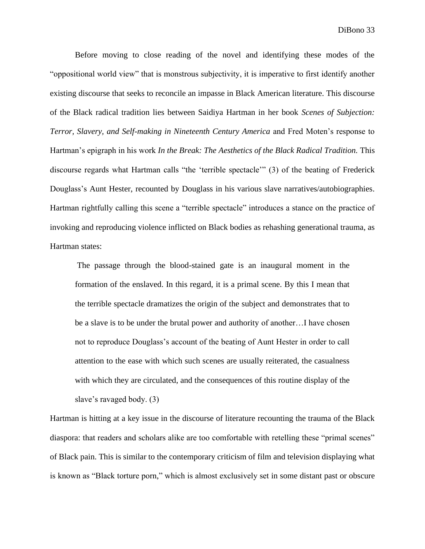Before moving to close reading of the novel and identifying these modes of the "oppositional world view" that is monstrous subjectivity, it is imperative to first identify another existing discourse that seeks to reconcile an impasse in Black American literature. This discourse of the Black radical tradition lies between Saidiya Hartman in her book *Scenes of Subjection: Terror, Slavery, and Self-making in Nineteenth Century America* and Fred Moten's response to Hartman's epigraph in his work *In the Break: The Aesthetics of the Black Radical Tradition.* This discourse regards what Hartman calls "the 'terrible spectacle'" (3) of the beating of Frederick Douglass's Aunt Hester, recounted by Douglass in his various slave narratives/autobiographies. Hartman rightfully calling this scene a "terrible spectacle" introduces a stance on the practice of invoking and reproducing violence inflicted on Black bodies as rehashing generational trauma, as Hartman states:

The passage through the blood-stained gate is an inaugural moment in the formation of the enslaved. In this regard, it is a primal scene. By this I mean that the terrible spectacle dramatizes the origin of the subject and demonstrates that to be a slave is to be under the brutal power and authority of another…I have chosen not to reproduce Douglass's account of the beating of Aunt Hester in order to call attention to the ease with which such scenes are usually reiterated, the casualness with which they are circulated, and the consequences of this routine display of the slave's ravaged body. (3)

Hartman is hitting at a key issue in the discourse of literature recounting the trauma of the Black diaspora: that readers and scholars alike are too comfortable with retelling these "primal scenes" of Black pain. This is similar to the contemporary criticism of film and television displaying what is known as "Black torture porn," which is almost exclusively set in some distant past or obscure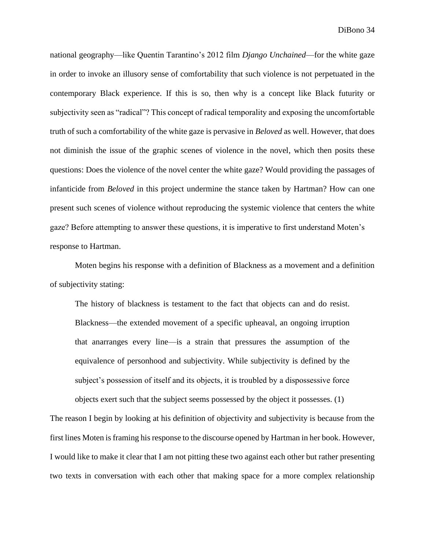national geography—like Quentin Tarantino's 2012 film *Django Unchained*—for the white gaze in order to invoke an illusory sense of comfortability that such violence is not perpetuated in the contemporary Black experience. If this is so, then why is a concept like Black futurity or subjectivity seen as "radical"? This concept of radical temporality and exposing the uncomfortable truth of such a comfortability of the white gaze is pervasive in *Beloved* as well. However, that does not diminish the issue of the graphic scenes of violence in the novel, which then posits these questions: Does the violence of the novel center the white gaze? Would providing the passages of infanticide from *Beloved* in this project undermine the stance taken by Hartman? How can one present such scenes of violence without reproducing the systemic violence that centers the white gaze? Before attempting to answer these questions, it is imperative to first understand Moten's response to Hartman.

Moten begins his response with a definition of Blackness as a movement and a definition of subjectivity stating:

The history of blackness is testament to the fact that objects can and do resist. Blackness—the extended movement of a specific upheaval, an ongoing irruption that anarranges every line—is a strain that pressures the assumption of the equivalence of personhood and subjectivity. While subjectivity is defined by the subject's possession of itself and its objects, it is troubled by a dispossessive force objects exert such that the subject seems possessed by the object it possesses. (1)

The reason I begin by looking at his definition of objectivity and subjectivity is because from the first lines Moten is framing his response to the discourse opened by Hartman in her book. However, I would like to make it clear that I am not pitting these two against each other but rather presenting two texts in conversation with each other that making space for a more complex relationship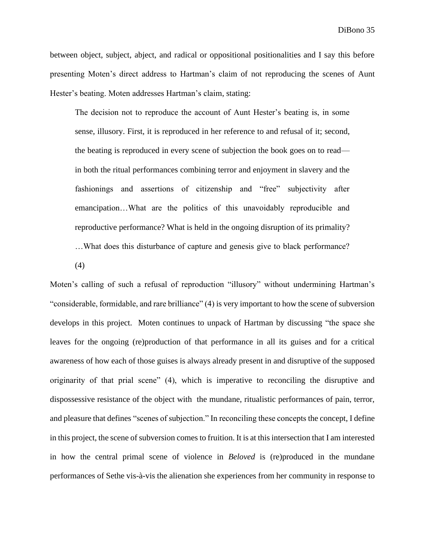between object, subject, abject, and radical or oppositional positionalities and I say this before presenting Moten's direct address to Hartman's claim of not reproducing the scenes of Aunt Hester's beating. Moten addresses Hartman's claim, stating:

The decision not to reproduce the account of Aunt Hester's beating is, in some sense, illusory. First, it is reproduced in her reference to and refusal of it; second, the beating is reproduced in every scene of subjection the book goes on to read in both the ritual performances combining terror and enjoyment in slavery and the fashionings and assertions of citizenship and "free" subjectivity after emancipation…What are the politics of this unavoidably reproducible and reproductive performance? What is held in the ongoing disruption of its primality? …What does this disturbance of capture and genesis give to black performance?

(4)

Moten's calling of such a refusal of reproduction "illusory" without undermining Hartman's "considerable, formidable, and rare brilliance" (4) is very important to how the scene of subversion develops in this project. Moten continues to unpack of Hartman by discussing "the space she leaves for the ongoing (re)production of that performance in all its guises and for a critical awareness of how each of those guises is always already present in and disruptive of the supposed originarity of that prial scene" (4), which is imperative to reconciling the disruptive and dispossessive resistance of the object with the mundane, ritualistic performances of pain, terror, and pleasure that defines "scenes of subjection." In reconciling these concepts the concept, I define in this project, the scene of subversion comes to fruition. It is at this intersection that I am interested in how the central primal scene of violence in *Beloved* is (re)produced in the mundane performances of Sethe vis-à-vis the alienation she experiences from her community in response to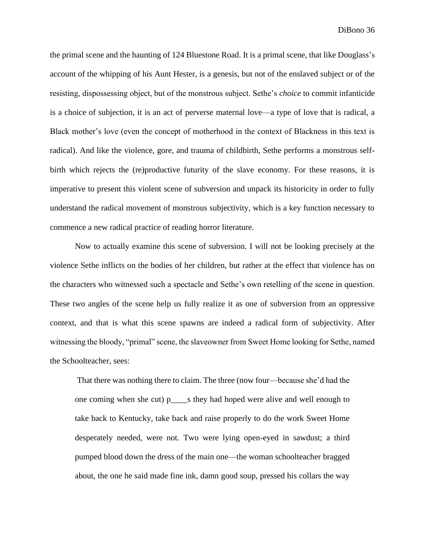the primal scene and the haunting of 124 Bluestone Road. It is a primal scene, that like Douglass's account of the whipping of his Aunt Hester, is a genesis, but not of the enslaved subject or of the resisting, dispossessing object, but of the monstrous subject. Sethe's *choice* to commit infanticide is a choice of subjection, it is an act of perverse maternal love—a type of love that is radical, a Black mother's love (even the concept of motherhood in the context of Blackness in this text is radical). And like the violence, gore, and trauma of childbirth, Sethe performs a monstrous selfbirth which rejects the (re)productive futurity of the slave economy. For these reasons, it is imperative to present this violent scene of subversion and unpack its historicity in order to fully understand the radical movement of monstrous subjectivity, which is a key function necessary to commence a new radical practice of reading horror literature.

Now to actually examine this scene of subversion. I will not be looking precisely at the violence Sethe inflicts on the bodies of her children, but rather at the effect that violence has on the characters who witnessed such a spectacle and Sethe's own retelling of the scene in question. These two angles of the scene help us fully realize it as one of subversion from an oppressive context, and that is what this scene spawns are indeed a radical form of subjectivity. After witnessing the bloody, "primal" scene, the slaveowner from Sweet Home looking for Sethe, named the Schoolteacher, sees:

That there was nothing there to claim. The three (now four—because she'd had the one coming when she cut) p\_\_\_\_s they had hoped were alive and well enough to take back to Kentucky, take back and raise properly to do the work Sweet Home desperately needed, were not. Two were lying open-eyed in sawdust; a third pumped blood down the dress of the main one—the woman schoolteacher bragged about, the one he said made fine ink, damn good soup, pressed his collars the way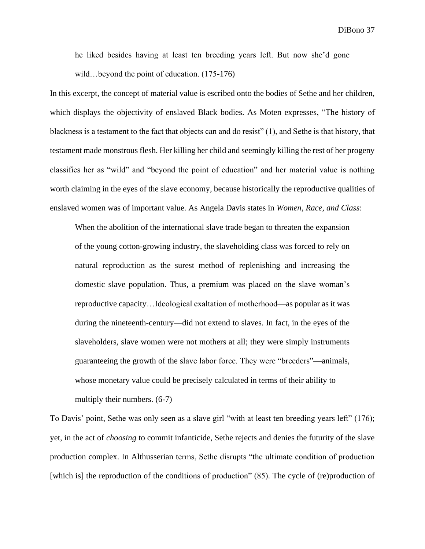he liked besides having at least ten breeding years left. But now she'd gone wild…beyond the point of education. (175-176)

In this excerpt, the concept of material value is escribed onto the bodies of Sethe and her children, which displays the objectivity of enslaved Black bodies. As Moten expresses, "The history of blackness is a testament to the fact that objects can and do resist" (1), and Sethe is that history, that testament made monstrous flesh. Her killing her child and seemingly killing the rest of her progeny classifies her as "wild" and "beyond the point of education" and her material value is nothing worth claiming in the eyes of the slave economy, because historically the reproductive qualities of enslaved women was of important value. As Angela Davis states in *Women, Race, and Class*:

When the abolition of the international slave trade began to threaten the expansion of the young cotton-growing industry, the slaveholding class was forced to rely on natural reproduction as the surest method of replenishing and increasing the domestic slave population. Thus, a premium was placed on the slave woman's reproductive capacity…Ideological exaltation of motherhood—as popular as it was during the nineteenth-century—did not extend to slaves. In fact, in the eyes of the slaveholders, slave women were not mothers at all; they were simply instruments guaranteeing the growth of the slave labor force. They were "breeders"—animals, whose monetary value could be precisely calculated in terms of their ability to multiply their numbers. (6-7)

To Davis' point, Sethe was only seen as a slave girl "with at least ten breeding years left" (176); yet, in the act of *choosing* to commit infanticide, Sethe rejects and denies the futurity of the slave production complex. In Althusserian terms, Sethe disrupts "the ultimate condition of production [which is] the reproduction of the conditions of production" (85). The cycle of (re)production of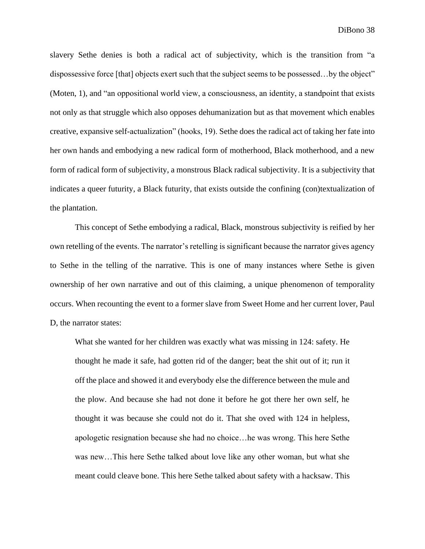slavery Sethe denies is both a radical act of subjectivity, which is the transition from "a dispossessive force [that] objects exert such that the subject seems to be possessed...by the object" (Moten, 1), and "an oppositional world view, a consciousness, an identity, a standpoint that exists not only as that struggle which also opposes dehumanization but as that movement which enables creative, expansive self-actualization" (hooks, 19). Sethe does the radical act of taking her fate into her own hands and embodying a new radical form of motherhood, Black motherhood, and a new form of radical form of subjectivity, a monstrous Black radical subjectivity. It is a subjectivity that indicates a queer futurity, a Black futurity, that exists outside the confining (con)textualization of the plantation.

This concept of Sethe embodying a radical, Black, monstrous subjectivity is reified by her own retelling of the events. The narrator's retelling is significant because the narrator gives agency to Sethe in the telling of the narrative. This is one of many instances where Sethe is given ownership of her own narrative and out of this claiming, a unique phenomenon of temporality occurs. When recounting the event to a former slave from Sweet Home and her current lover, Paul D, the narrator states:

What she wanted for her children was exactly what was missing in 124: safety. He thought he made it safe, had gotten rid of the danger; beat the shit out of it; run it off the place and showed it and everybody else the difference between the mule and the plow. And because she had not done it before he got there her own self, he thought it was because she could not do it. That she oved with 124 in helpless, apologetic resignation because she had no choice…he was wrong. This here Sethe was new…This here Sethe talked about love like any other woman, but what she meant could cleave bone. This here Sethe talked about safety with a hacksaw. This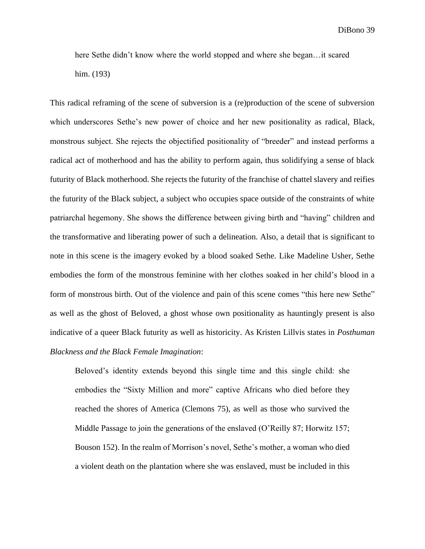here Sethe didn't know where the world stopped and where she began…it scared him. (193)

This radical reframing of the scene of subversion is a (re)production of the scene of subversion which underscores Sethe's new power of choice and her new positionality as radical, Black, monstrous subject. She rejects the objectified positionality of "breeder" and instead performs a radical act of motherhood and has the ability to perform again, thus solidifying a sense of black futurity of Black motherhood. She rejects the futurity of the franchise of chattel slavery and reifies the futurity of the Black subject, a subject who occupies space outside of the constraints of white patriarchal hegemony. She shows the difference between giving birth and "having" children and the transformative and liberating power of such a delineation. Also, a detail that is significant to note in this scene is the imagery evoked by a blood soaked Sethe. Like Madeline Usher, Sethe embodies the form of the monstrous feminine with her clothes soaked in her child's blood in a form of monstrous birth. Out of the violence and pain of this scene comes "this here new Sethe" as well as the ghost of Beloved, a ghost whose own positionality as hauntingly present is also indicative of a queer Black futurity as well as historicity. As Kristen Lillvis states in *Posthuman Blackness and the Black Female Imagination*:

Beloved's identity extends beyond this single time and this single child: she embodies the "Sixty Million and more" captive Africans who died before they reached the shores of America (Clemons 75), as well as those who survived the Middle Passage to join the generations of the enslaved (O'Reilly 87; Horwitz 157; Bouson 152). In the realm of Morrison's novel, Sethe's mother, a woman who died a violent death on the plantation where she was enslaved, must be included in this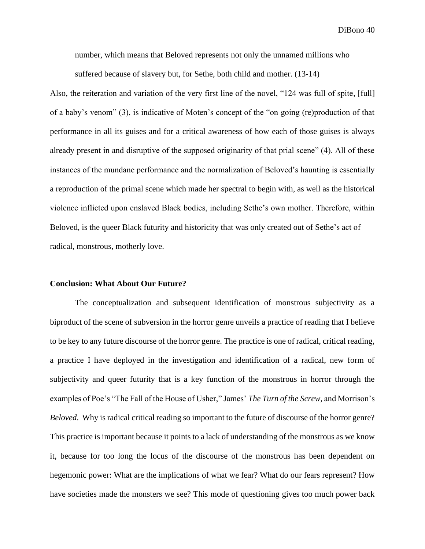number, which means that Beloved represents not only the unnamed millions who

suffered because of slavery but, for Sethe, both child and mother. (13-14)

Also, the reiteration and variation of the very first line of the novel, "124 was full of spite, [full] of a baby's venom" (3), is indicative of Moten's concept of the "on going (re)production of that performance in all its guises and for a critical awareness of how each of those guises is always already present in and disruptive of the supposed originarity of that prial scene" (4). All of these instances of the mundane performance and the normalization of Beloved's haunting is essentially a reproduction of the primal scene which made her spectral to begin with, as well as the historical violence inflicted upon enslaved Black bodies, including Sethe's own mother. Therefore, within Beloved, is the queer Black futurity and historicity that was only created out of Sethe's act of radical, monstrous, motherly love.

#### **Conclusion: What About Our Future?**

The conceptualization and subsequent identification of monstrous subjectivity as a biproduct of the scene of subversion in the horror genre unveils a practice of reading that I believe to be key to any future discourse of the horror genre. The practice is one of radical, critical reading, a practice I have deployed in the investigation and identification of a radical, new form of subjectivity and queer futurity that is a key function of the monstrous in horror through the examples of Poe's "The Fall of the House of Usher," James' *The Turn of the Screw,* and Morrison's *Beloved.* Why is radical critical reading so important to the future of discourse of the horror genre? This practice is important because it points to a lack of understanding of the monstrous as we know it, because for too long the locus of the discourse of the monstrous has been dependent on hegemonic power: What are the implications of what we fear? What do our fears represent? How have societies made the monsters we see? This mode of questioning gives too much power back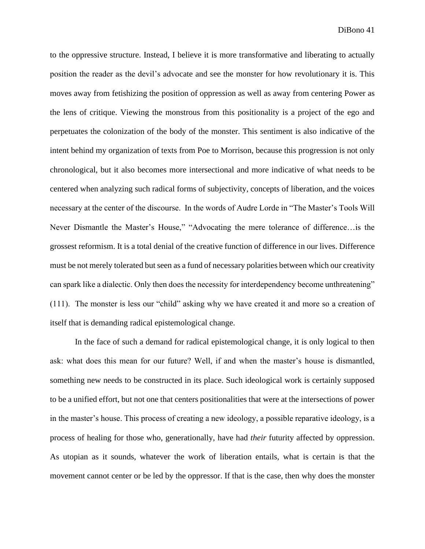to the oppressive structure. Instead, I believe it is more transformative and liberating to actually position the reader as the devil's advocate and see the monster for how revolutionary it is. This moves away from fetishizing the position of oppression as well as away from centering Power as the lens of critique. Viewing the monstrous from this positionality is a project of the ego and perpetuates the colonization of the body of the monster. This sentiment is also indicative of the intent behind my organization of texts from Poe to Morrison, because this progression is not only chronological, but it also becomes more intersectional and more indicative of what needs to be centered when analyzing such radical forms of subjectivity, concepts of liberation, and the voices necessary at the center of the discourse. In the words of Audre Lorde in "The Master's Tools Will Never Dismantle the Master's House," "Advocating the mere tolerance of difference…is the grossest reformism. It is a total denial of the creative function of difference in our lives. Difference must be not merely tolerated but seen as a fund of necessary polarities between which our creativity can spark like a dialectic. Only then does the necessity for interdependency become unthreatening" (111). The monster is less our "child" asking why we have created it and more so a creation of itself that is demanding radical epistemological change.

In the face of such a demand for radical epistemological change, it is only logical to then ask: what does this mean for our future? Well, if and when the master's house is dismantled, something new needs to be constructed in its place. Such ideological work is certainly supposed to be a unified effort, but not one that centers positionalities that were at the intersections of power in the master's house. This process of creating a new ideology, a possible reparative ideology, is a process of healing for those who, generationally, have had *their* futurity affected by oppression. As utopian as it sounds, whatever the work of liberation entails, what is certain is that the movement cannot center or be led by the oppressor. If that is the case, then why does the monster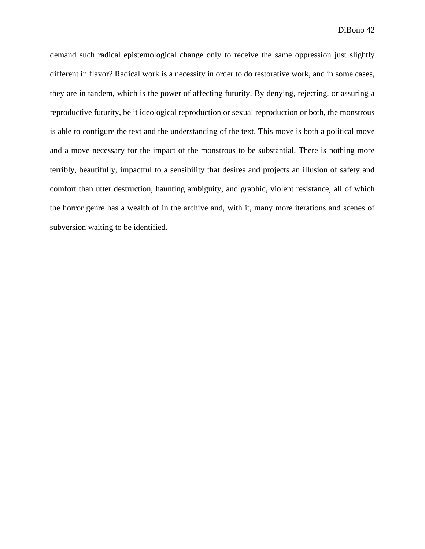demand such radical epistemological change only to receive the same oppression just slightly different in flavor? Radical work is a necessity in order to do restorative work, and in some cases, they are in tandem, which is the power of affecting futurity. By denying, rejecting, or assuring a reproductive futurity, be it ideological reproduction or sexual reproduction or both, the monstrous is able to configure the text and the understanding of the text. This move is both a political move and a move necessary for the impact of the monstrous to be substantial. There is nothing more terribly, beautifully, impactful to a sensibility that desires and projects an illusion of safety and comfort than utter destruction, haunting ambiguity, and graphic, violent resistance, all of which the horror genre has a wealth of in the archive and, with it, many more iterations and scenes of subversion waiting to be identified.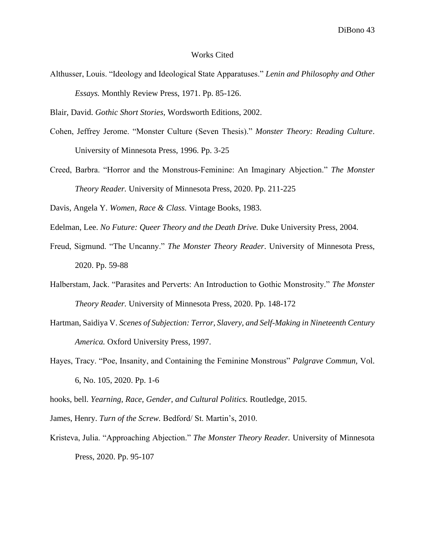#### Works Cited

- Althusser, Louis. "Ideology and Ideological State Apparatuses." *Lenin and Philosophy and Other Essays.* Monthly Review Press, 1971. Pp. 85-126.
- Blair, David. *Gothic Short Stories,* Wordsworth Editions, 2002.
- Cohen, Jeffrey Jerome. "Monster Culture (Seven Thesis)." *Monster Theory: Reading Culture*. University of Minnesota Press, 1996. Pp. 3-25
- Creed, Barbra. "Horror and the Monstrous-Feminine: An Imaginary Abjection." *The Monster Theory Reader.* University of Minnesota Press, 2020. Pp. 211-225
- Davis, Angela Y. *Women, Race & Class.* Vintage Books, 1983.
- Edelman, Lee. *No Future: Queer Theory and the Death Drive.* Duke University Press, 2004.
- Freud, Sigmund. "The Uncanny." *The Monster Theory Reader*. University of Minnesota Press, 2020. Pp. 59-88
- Halberstam, Jack. "Parasites and Perverts: An Introduction to Gothic Monstrosity." *The Monster Theory Reader.* University of Minnesota Press, 2020. Pp. 148-172
- Hartman, Saidiya V. *Scenes of Subjection: Terror, Slavery, and Self-Making in Nineteenth Century America.* Oxford University Press, 1997.
- Hayes, Tracy. "Poe, Insanity, and Containing the Feminine Monstrous" *Palgrave Commun,* Vol. 6, No. 105, 2020. Pp. 1-6

hooks, bell. *Yearning, Race, Gender, and Cultural Politics.* Routledge, 2015.

James, Henry. *Turn of the Screw.* Bedford/ St. Martin's, 2010.

Kristeva, Julia. "Approaching Abjection." *The Monster Theory Reader.* University of Minnesota Press, 2020. Pp. 95-107